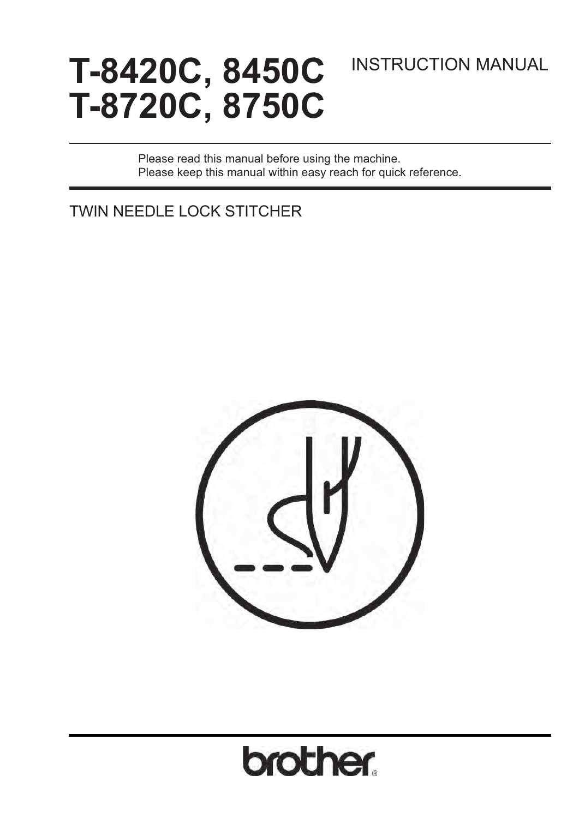# **T-8420C, 8450C T-8720C, 8750C**

## INSTRUCTION MANUAL

Please read this manual before using the machine. Please keep this manual within easy reach for quick reference.

TWIN NEEDLE LOCK STITCHER



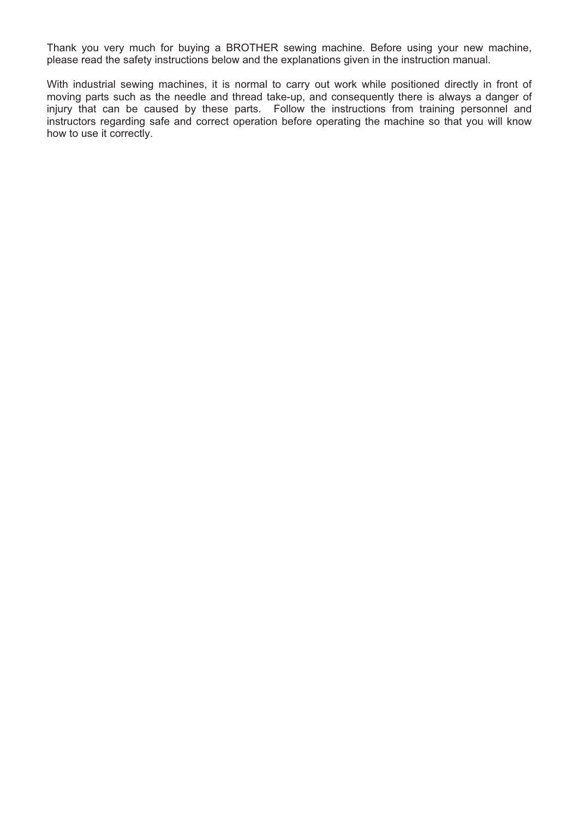Thank you very much for buying a BROTHER sewing machine. Before using your new machine, please read the safety instructions below and the explanations given in the instruction manual.

With industrial sewing machines, it is normal to carry out work while positioned directly in front of moving parts such as the needle and thread take-up, and consequently there is always a danger of injury that can be caused by these parts. Follow the instructions from training personnel and instructors regarding safe and correct operation before operating the machine so that you will know how to use it correctly.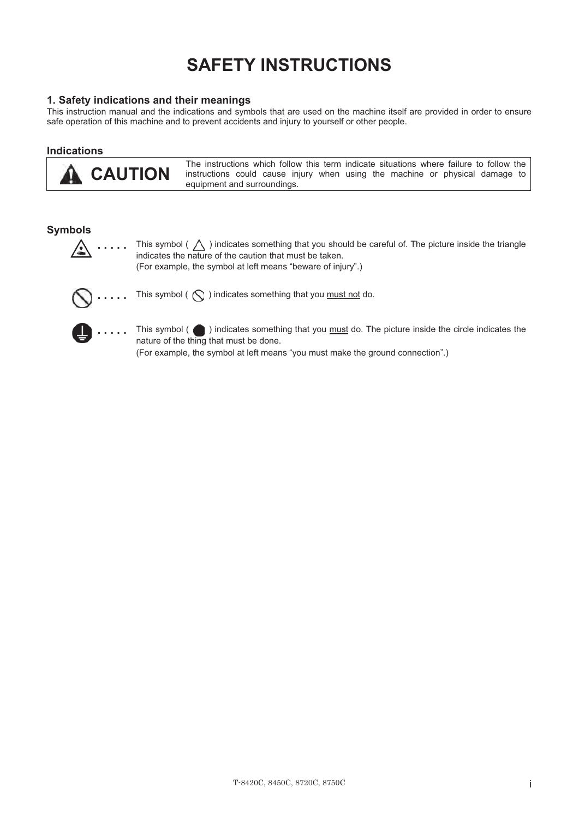## **SAFETY INSTRUCTIONS**

#### **1. Safety indications and their meanings**

This instruction manual and the indications and symbols that are used on the machine itself are provided in order to ensure safe operation of this machine and to prevent accidents and injury to yourself or other people.

#### **Indications**

 **CAUTION** 

The instructions which follow this term indicate situations where failure to follow the instructions could cause injury when using the machine or physical damage to equipment and surroundings.

#### **Symbols**



**.** . . . . This symbol (  $\triangle$  ) indicates something that you should be careful of. The picture inside the triangle indicates the nature of the caution that must be taken. (For example, the symbol at left means "beware of injury".)



**.....** This symbol (  $\bigcirc$  ) indicates something that you must not do.



**.....** This symbol ( ) indicates something that you must do. The picture inside the circle indicates the nature of the thing that must be done.

(For example, the symbol at left means "you must make the ground connection".)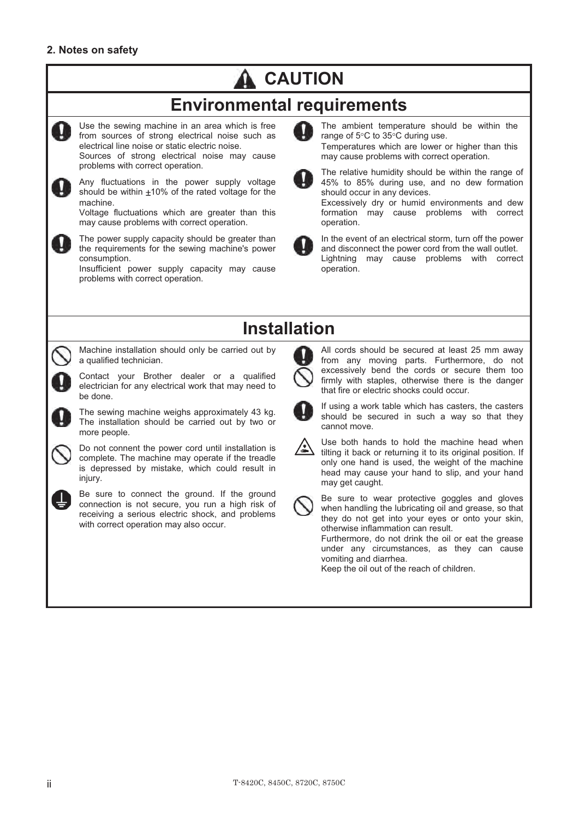## **CAUTION**

## **Environmental requirements**



Use the sewing machine in an area which is free from sources of strong electrical noise such as electrical line noise or static electric noise. Sources of strong electrical noise may cause

problems with correct operation.



Any fluctuations in the power supply voltage should be within  $\pm 10\%$  of the rated voltage for the machine.

Voltage fluctuations which are greater than this may cause problems with correct operation.



The power supply capacity should be greater than the requirements for the sewing machine's power consumption.

Insufficient power supply capacity may cause problems with correct operation.



The ambient temperature should be within the range of 5°C to 35°C during use. Temperatures which are lower or higher than this may cause problems with correct operation.



The relative humidity should be within the range of 45% to 85% during use, and no dew formation should occur in any devices.

Excessively dry or humid environments and dew formation may cause problems with correct operation.



In the event of an electrical storm, turn off the power and disconnect the power cord from the wall outlet. Lightning may cause problems with correct operation.

## **Installation**



Contact your Brother dealer or a qualified electrician for any electrical work that may need to be done.



The sewing machine weighs approximately 43 kg. The installation should be carried out by two or more people.

Do not connent the power cord until installation is complete. The machine may operate if the treadle is depressed by mistake, which could result in injury.



Be sure to connect the ground. If the ground connection is not secure, you run a high risk of receiving a serious electric shock, and problems with correct operation may also occur.



All cords should be secured at least 25 mm away from any moving parts. Furthermore, do not excessively bend the cords or secure them too firmly with staples, otherwise there is the danger that fire or electric shocks could occur.



If using a work table which has casters, the casters should be secured in such a way so that they cannot move.



Use both hands to hold the machine head when tilting it back or returning it to its original position. If only one hand is used, the weight of the machine head may cause your hand to slip, and your hand may get caught.



Be sure to wear protective goggles and gloves when handling the lubricating oil and grease, so that they do not get into your eyes or onto your skin, otherwise inflammation can result.

Furthermore, do not drink the oil or eat the grease under any circumstances, as they can cause vomiting and diarrhea.

Keep the oil out of the reach of children.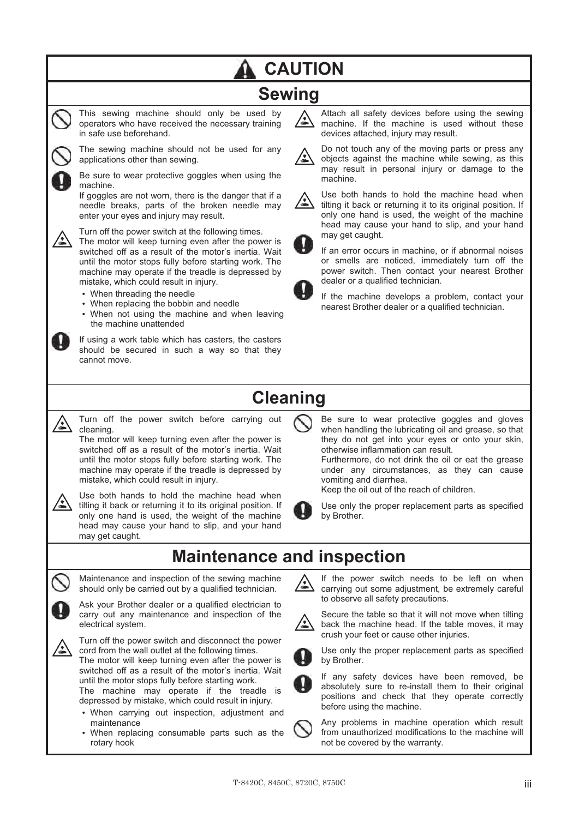## **CAUTION**

## **Sewing**



This sewing machine should only be used by operators who have received the necessary training in safe use beforehand. The sewing machine should not be used for any



Be sure to wear protective goggles when using the machine.

If goggles are not worn, there is the danger that if a needle breaks, parts of the broken needle may enter your eyes and injury may result.



Turn off the power switch at the following times.

The motor will keep turning even after the power is switched off as a result of the motor's inertia. Wait until the motor stops fully before starting work. The machine may operate if the treadle is depressed by mistake, which could result in injury.

-When threading the needle

applications other than sewing.

- When replacing the bobbin and needle
- When not using the machine and when leaving the machine unattended

If using a work table which has casters, the casters should be secured in such a way so that they cannot move.

Attach all safety devices before using the sewing machine. If the machine is used without these devices attached, injury may result.



Do not touch any of the moving parts or press any objects against the machine while sewing, as this may result in personal injury or damage to the machine.



Use both hands to hold the machine head when tilting it back or returning it to its original position. If only one hand is used, the weight of the machine head may cause your hand to slip, and your hand may get caught.

If an error occurs in machine, or if abnormal noises or smells are noticed, immediately turn off the power switch. Then contact your nearest Brother dealer or a qualified technician.

If the machine develops a problem, contact your nearest Brother dealer or a qualified technician.

## **Cleaning**



Turn off the power switch before carrying out cleaning.

The motor will keep turning even after the power is switched off as a result of the motor's inertia. Wait until the motor stops fully before starting work. The machine may operate if the treadle is depressed by mistake, which could result in injury.



Use both hands to hold the machine head when tilting it back or returning it to its original position. If only one hand is used, the weight of the machine head may cause your hand to slip, and your hand may get caught.





Maintenance and inspection of the sewing machine should only be carried out by a qualified technician.

Ask your Brother dealer or a qualified electrician to carry out any maintenance and inspection of the electrical system.



Turn off the power switch and disconnect the power cord from the wall outlet at the following times.

The motor will keep turning even after the power is switched off as a result of the motor's inertia. Wait until the motor stops fully before starting work. The machine may operate if the treadle is

depressed by mistake, which could result in injury.

- When carrying out inspection, adjustment and maintenance
- When replacing consumable parts such as the rotary hook

Be sure to wear protective goggles and gloves when handling the lubricating oil and grease, so that they do not get into your eyes or onto your skin, otherwise inflammation can result. Furthermore, do not drink the oil or eat the grease under any circumstances, as they can cause vomiting and diarrhea.

Keep the oil out of the reach of children.



Use only the proper replacement parts as specified by Brother.

## **Maintenance and inspection**

If the power switch needs to be left on when carrying out some adjustment, be extremely careful to observe all safety precautions.



Secure the table so that it will not move when tilting back the machine head. If the table moves, it may crush your feet or cause other injuries.

Use only the proper replacement parts as specified by Brother.



If any safety devices have been removed, be absolutely sure to re-install them to their original positions and check that they operate correctly before using the machine.



Any problems in machine operation which result from unauthorized modifications to the machine will not be covered by the warranty.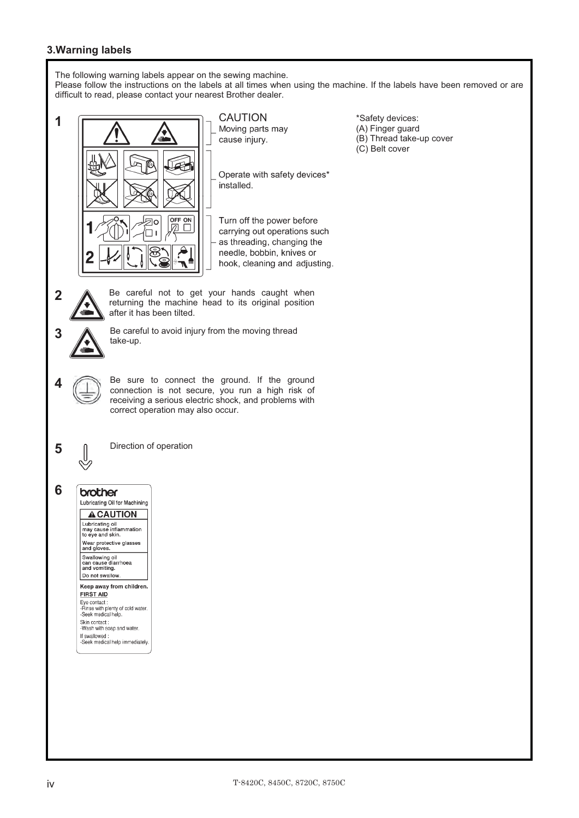#### **3.Warning labels**

The following warning labels appear on the sewing machine.

Please follow the instructions on the labels at all times when using the machine. If the labels have been removed or are difficult to read, please contact your nearest Brother dealer.

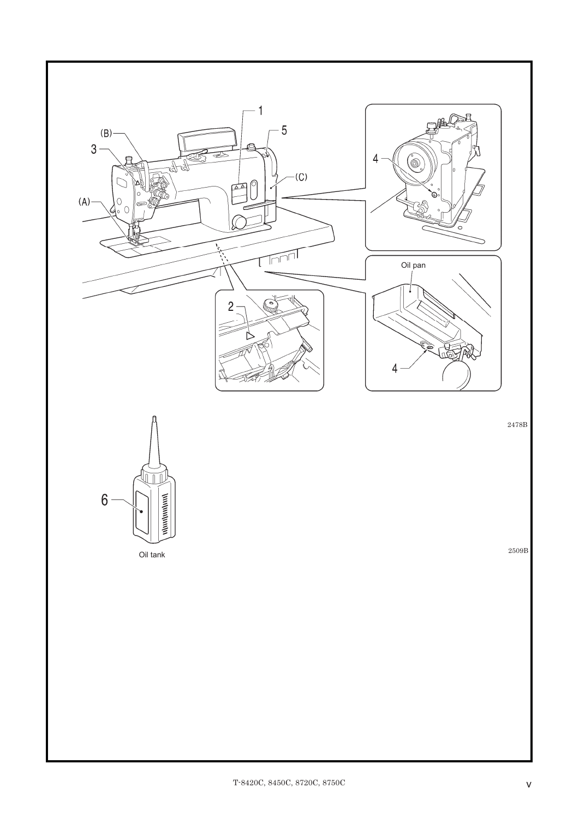

2478B

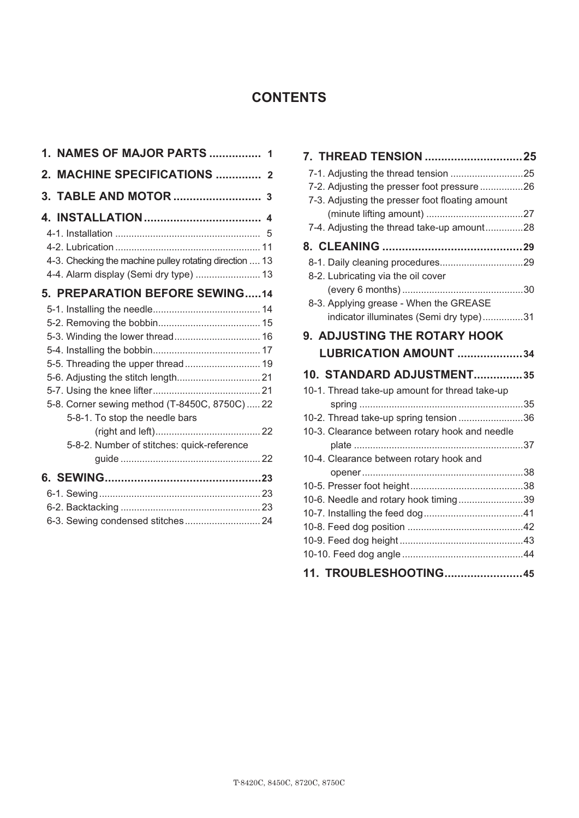### **CONTENTS**

| 1. NAMES OF MAJOR PARTS                                                          | 1              |
|----------------------------------------------------------------------------------|----------------|
| <b>MACHINE SPECIFICATIONS </b><br>2.                                             | $\overline{2}$ |
| TABLE AND MOTOR<br>3.                                                            | 3              |
|                                                                                  |                |
|                                                                                  |                |
|                                                                                  |                |
| 4-3. Checking the machine pulley rotating direction  13                          |                |
| 4-4. Alarm display (Semi dry type)  13                                           |                |
| 5. PREPARATION BEFORE SEWING14                                                   |                |
|                                                                                  |                |
|                                                                                  |                |
|                                                                                  |                |
|                                                                                  |                |
|                                                                                  |                |
|                                                                                  |                |
|                                                                                  |                |
| 5-8. Corner sewing method (T-8450C, 8750C)  22<br>5-8-1. To stop the needle bars |                |
|                                                                                  |                |
| 5-8-2. Number of stitches: quick-reference                                       |                |
|                                                                                  |                |
|                                                                                  |                |
|                                                                                  |                |
|                                                                                  |                |
| 6-3. Sewing condensed stitches 24                                                |                |

| 7. THREAD TENSION 25                            |
|-------------------------------------------------|
|                                                 |
| 7-2. Adjusting the presser foot pressure 26     |
| 7-3. Adjusting the presser foot floating amount |
|                                                 |
| 7-4. Adjusting the thread take-up amount28      |
|                                                 |
|                                                 |
| 8-2. Lubricating via the oil cover              |
|                                                 |
| 8-3. Applying grease - When the GREASE          |
| indicator illuminates (Semi dry type)31         |
| <b>9. ADJUSTING THE ROTARY HOOK</b>             |
| LUBRICATION AMOUNT 34                           |
|                                                 |
| 10. STANDARD ADJUSTMENT35                       |
| 10-1. Thread take-up amount for thread take-up  |
|                                                 |
| 10-2. Thread take-up spring tension36           |
| 10-3. Clearance between rotary hook and needle  |
|                                                 |
| 10-4. Clearance between rotary hook and         |
|                                                 |
|                                                 |
| 10-6. Needle and rotary hook timing39           |
|                                                 |
|                                                 |
|                                                 |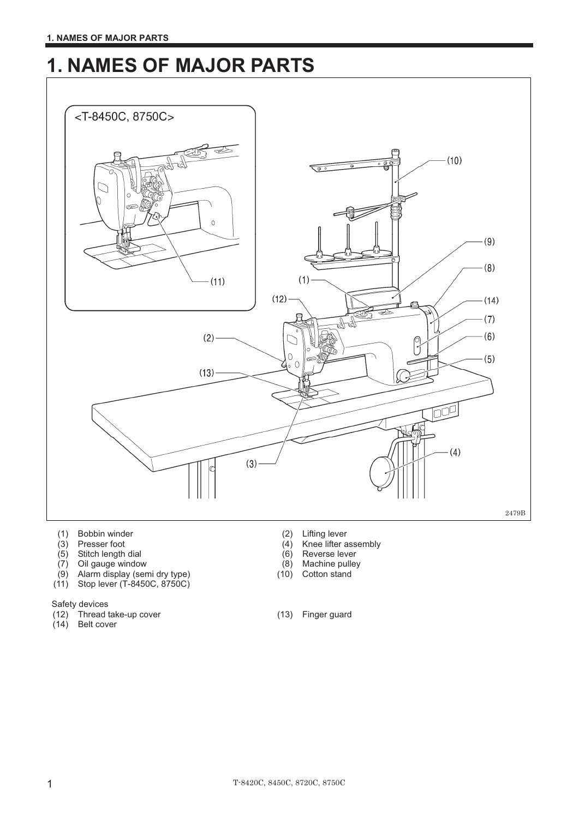## **1. NAMES OF MAJOR PARTS**



- (1) Bobbin winder (2) Lifting lever<br>
(3) Presser foot (3) (4) Knee lifter a
- 
- $(5)$  Stitch length dial
- 
- (7) Oil gauge window (8) Machine pulley<br>
(9) Alarm display (semi dry type) (10) Cotton stand  $(9)$  Alarm display (semi dry type)
- (11) Stop lever (T-8450C, 8750C)
- Safety devices
- (12) Thread take-up cover (13) Finger guard
- $(14)$  Belt cover
- 
- $(4)$  Knee lifter assembly<br> $(6)$  Reverse lever
- 
- 
- 
-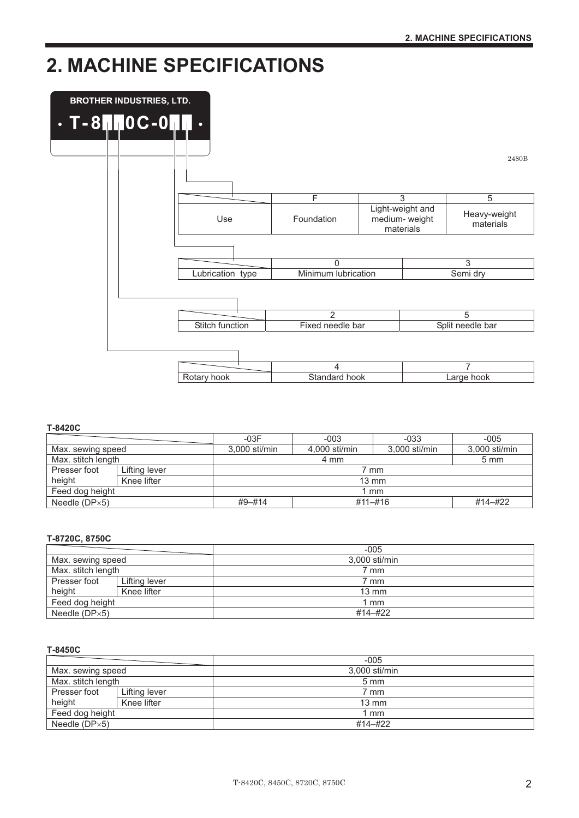## **2. MACHINE SPECIFICATIONS**



#### **T-8420C**

|                      |               | $-03F$                | $-003$                           | $-033$ | $-005$         |  |
|----------------------|---------------|-----------------------|----------------------------------|--------|----------------|--|
| Max. sewing speed    |               | 3.000 sti/min         | $3.000$ sti/min<br>4.000 sti/min |        | 3.000 sti/min  |  |
| Max. stitch length   |               | 4 mm                  |                                  |        | $5 \text{ mm}$ |  |
| Presser foot         | Lifting lever | 7 mm                  |                                  |        |                |  |
| height               | Knee lifter   | $13 \text{ mm}$       |                                  |        |                |  |
| Feed dog height      |               | l mm                  |                                  |        |                |  |
| Needle $(DP\times5)$ |               | $#9 - #14$<br>#11-#16 |                                  |        | #14-#22        |  |

#### **T-8720C, 8750C**

|                      |               | $-005$          |
|----------------------|---------------|-----------------|
| Max. sewing speed    |               | 3,000 sti/min   |
| Max. stitch length   |               | ' mm            |
| Presser foot         | Lifting lever | ' mm            |
| height               | Knee lifter   | $13 \text{ mm}$ |
| Feed dog height      |               | l mm            |
| Needle $(DP\times5)$ |               | #14-#22         |

#### **T-8450C**

|                    |               | $-005$          |  |
|--------------------|---------------|-----------------|--|
| Max. sewing speed  |               | 3.000 sti/min   |  |
| Max. stitch length |               | $5 \text{ mm}$  |  |
| Presser foot       | Lifting lever | ' mm            |  |
| height             | Knee lifter   | $13 \text{ mm}$ |  |
| Feed dog height    |               | l mm            |  |
| Needle $(DPx5)$    |               | #14-#22         |  |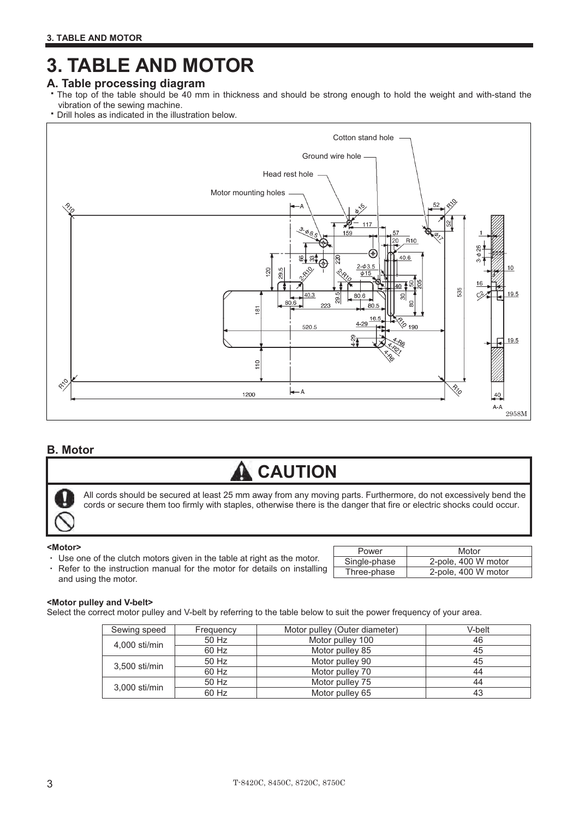## **3. TABLE AND MOTOR**

### **A. Table processing diagram**

- The top of the table should be 40 mm in thickness and should be strong enough to hold the weight and with-stand the vibration of the sewing machine.
- Drill holes as indicated in the illustration below.



#### **B. Motor**

## **CAUTION**

All cords should be secured at least 25 mm away from any moving parts. Furthermore, do not excessively bend the All cords should be secured at least 25 mm away from any moving parts. Furthermore, do not excessively bend th<br>cords or secure them too firmly with staples, otherwise there is the danger that fire or electric shocks could

#### **<Motor>** - $\overline{\phantom{a}}$ -171

- Use one of the clutch motors given in the table at right as the motor.
- Refer to the instruction manual for the motor for details on installing and using the motor.

| Power        | Motor               |
|--------------|---------------------|
| Single-phase | 2-pole, 400 W motor |
| Three-phase  | 2-pole, 400 W motor |

#### **<Motor pulley and V-belt>**

Select the correct motor pulley and V-belt by referring to the table below to suit the power frequency of your area.

| Sewing speed    | Frequency | Motor pulley (Outer diameter) | V-belt |
|-----------------|-----------|-------------------------------|--------|
| 4,000 sti/min   | 50 Hz     | Motor pulley 100              | 46     |
|                 | 60 Hz     | Motor pulley 85               | 45     |
| 3,500 sti/min   | 50 Hz     | Motor pulley 90               | 45     |
|                 | 60 Hz     | Motor pulley 70               | 44     |
| $3.000$ sti/min | 50 Hz     | Motor pulley 75               | 44     |
|                 | 60 Hz     | Motor pulley 65               | 43     |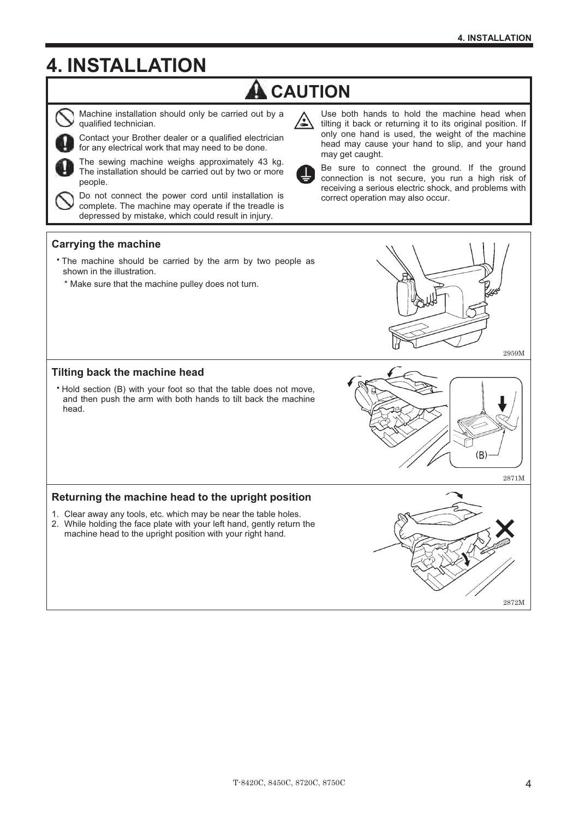## **4. INSTALLATION**

## **A** CAUTION

∕▲



Machine installation should only be carried out by a qualified technician.

Contact your Brother dealer or a qualified electrician for any electrical work that may need to be done.

The sewing machine weighs approximately 43 kg. The installation should be carried out by two or more people.

Do not connect the power cord until installation is complete. The machine may operate if the treadle is depressed by mistake, which could result in injury.

Use both hands to hold the machine head when tilting it back or returning it to its original position. If only one hand is used, the weight of the machine head may cause your hand to slip, and your hand may get caught.



Be sure to connect the ground. If the ground connection is not secure, you run a high risk of receiving a serious electric shock, and problems with correct operation may also occur.

#### **Carrying the machine**

- The machine should be carried by the arm by two people as shown in the illustration.
- \* Make sure that the machine pulley does not turn.



#### **Tilting back the machine head**

 Hold section (B) with your foot so that the table does not move, and then push the arm with both hands to tilt back the machine head.

#### **Returning the machine head to the upright position**

- 1. Clear away any tools, etc. which may be near the table holes.
- 2. While holding the face plate with your left hand, gently return the machine head to the upright position with your right hand.



 $(B)$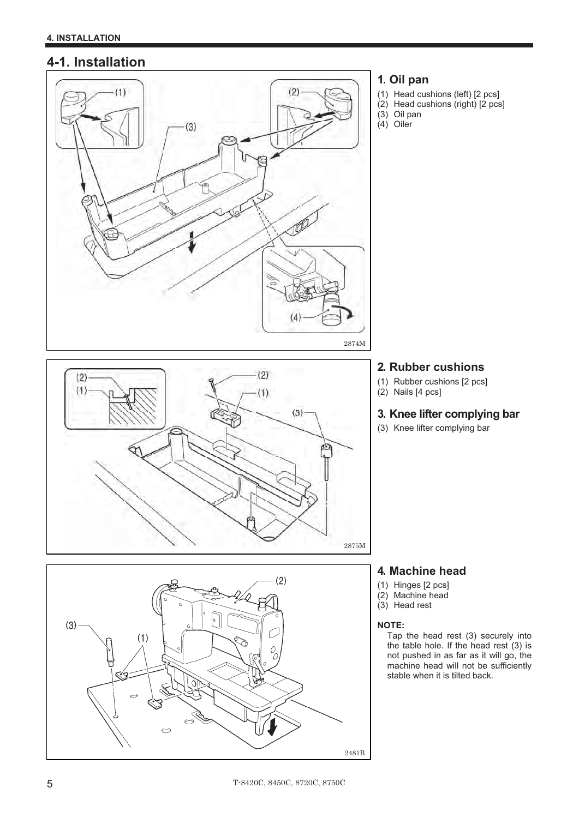### **4-1. Installation**



#### **1. Oil pan**

- (1) Head cushions (left) [2 pcs]
- (2) Head cushions (right) [2 pcs]
- (3) Oil pan  $(4)$  Oiler

## 2875M $(2)$  $(3)$  $(1)$ ৰ্ত্বি  $\rightarrow$  $\bigodot$ 2481B

### **2. Rubber cushions**

- (1) Rubber cushions [2 pcs]
- (2) Nails [4 pcs]

### **3. Knee lifter complying bar**

(3) Knee lifter complying bar



- (1) Hinges [2 pcs]
- (2) Machine head
- (3) Head rest

#### **NOTE:**

Tap the head rest (3) securely into the table hole. If the head rest (3) is not pushed in as far as it will go, the machine head will not be sufficiently stable when it is tilted back.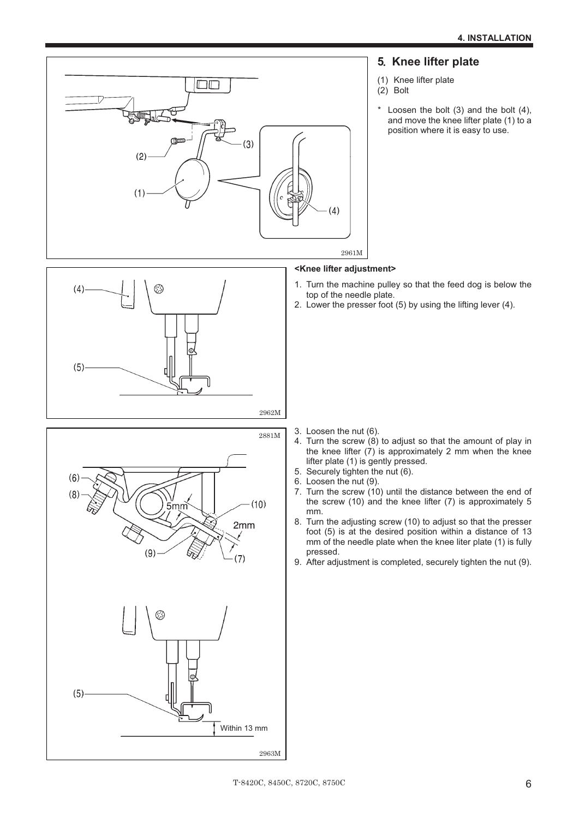# **5 Knee lifter plate**-



- (1) Knee lifter plate
- $(2)$  Bolt
- Loosen the bolt  $(3)$  and the bolt  $(4)$ , and move the knee lifter plate (1) to a position where it is easy to use.

#### **<Knee lifter adjustment>**-

- 1. Turn the machine pulley so that the feed dog is below the top of the needle plate.
- 2. Lower the presser foot (5) by using the lifting lever (4).





- 3. Loosen the nut (6).
- 4. Turn the screw  $(8)$  to adjust so that the amount of play in the knee lifter (7) is approximately 2 mm when the knee lifter plate (1) is gently pressed.
- 5. Securely tighten the nut (6).
- 6. Loosen the nut (9).
- 7. Turn the screw  $(10)$  until the distance between the end of the screw (10) and the knee lifter (7) is approximately 5 mm.
- 8. Turn the adjusting screw (10) to adjust so that the presser foot (5) is at the desired position within a distance of 13 mm of the needle plate when the knee liter plate (1) is fully pressed.
- 9. After adjustment is completed, securely tighten the nut (9). -

2963M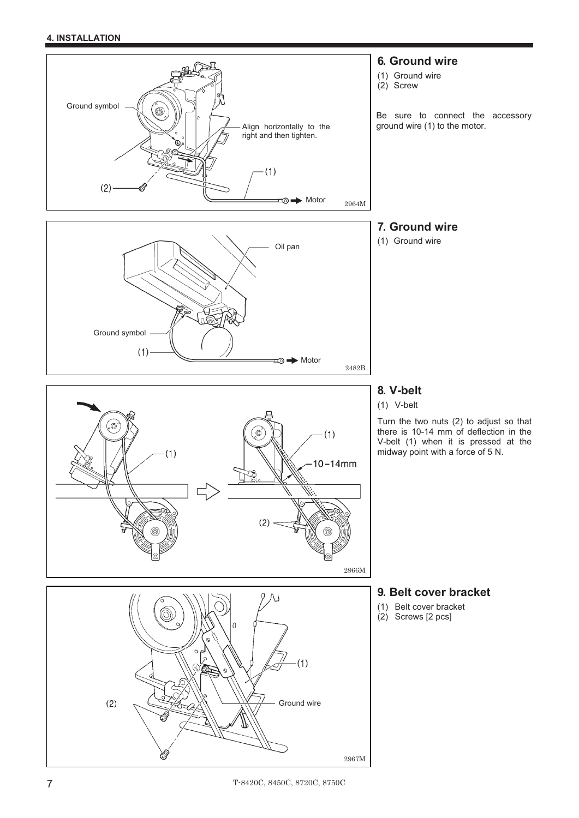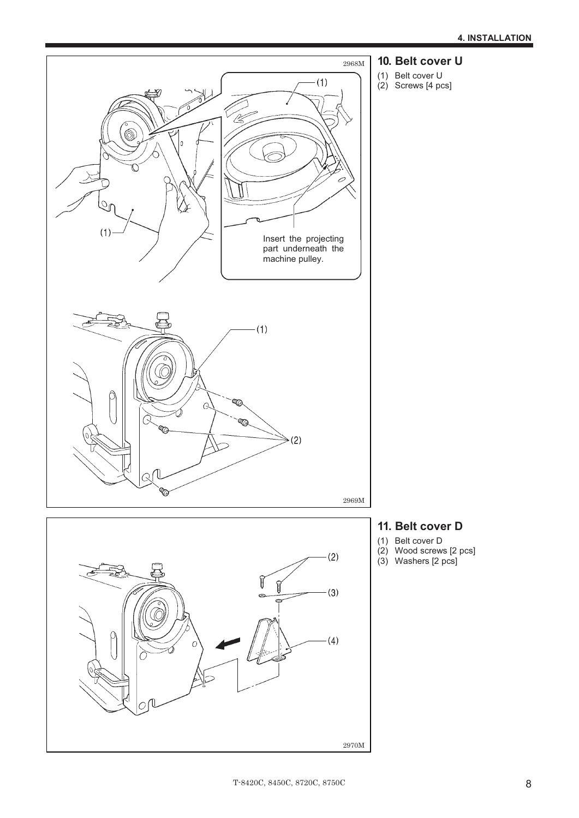

- **10. Belt cover U**
- (1) Belt cover U
- (2) Screws [4 pcs]

- **11. Belt cover D**
- (1) Belt cover D
- (2) Wood screws [2 pcs]
- (3) Washers [2 pcs]

2970M

 $(4)$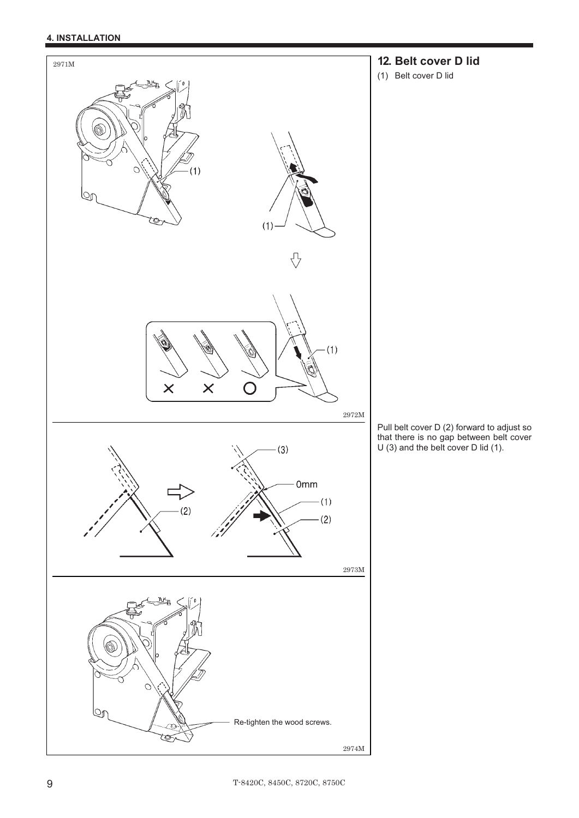#### **4. INSTALLATION**



### **12. Belt cover D lid**

(1) Belt cover D lid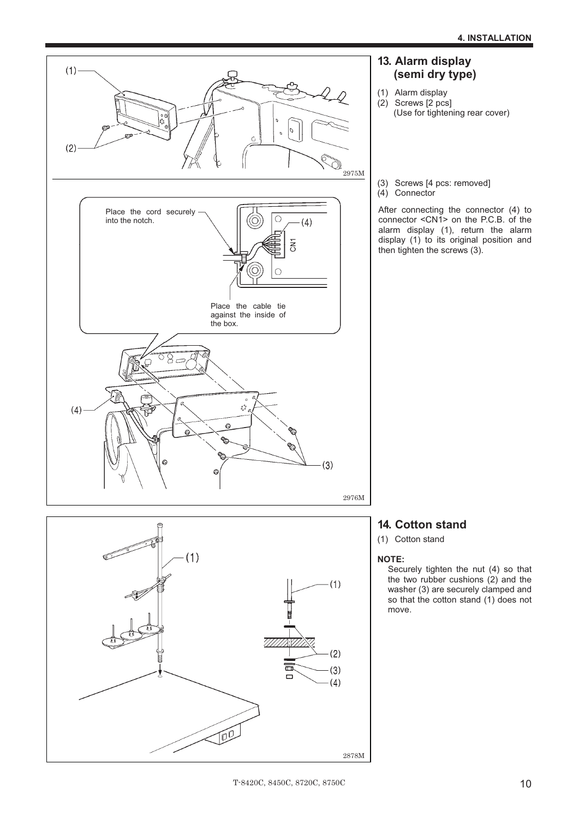



### **13. Alarm display (semi dry type)**

- (1) Alarm display  $(2)$  Screws  $[2 \text{ pcs}]$ (Use for tightening rear cover)
- (3) Screws [4 pcs: removed] (4) Connector

After connecting the connector (4) to connector <CN1> on the P.C.B. of the alarm display (1), return the alarm display (1) to its original position and then tighten the screws (3).

### **14. Cotton stand**

(1) Cotton stand

#### **NOTE:**

Securely tighten the nut (4) so that the two rubber cushions  $(2)$  and the washer (3) are securely clamped and so that the cotton stand (1) does not move.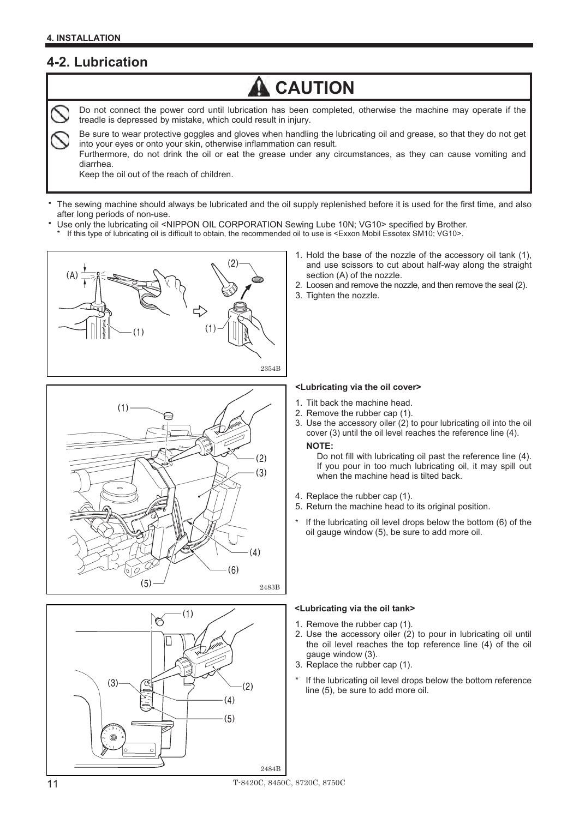L

## **4-2. Lubrication**



Do not connect the power cord until lubrication has been completed, otherwise the machine may operate if the treadle is depressed by mistake, which could result in injury.

Be sure to wear protective goggles and gloves when handling the lubricating oil and grease, so that they do not get into your eyes or onto your skin, otherwise inflammation can result.

Furthermore, do not drink the oil or eat the grease under any circumstances, as they can cause vomiting and diarrhea.

Keep the oil out of the reach of children.

- The sewing machine should always be lubricated and the oil supply replenished before it is used for the first time, and also after long periods of non-use.
	- Use only the lubricating oil <NIPPON OIL CORPORATION Sewing Lube 10N; VG10> specified by Brother.

If this type of lubricating oil is difficult to obtain, the recommended oil to use is <Exxon Mobil Essotex SM10; VG10>.







- 1. Hold the base of the nozzle of the accessory oil tank (1), and use scissors to cut about half-way along the straight section (A) of the nozzle.
- 2. Loosen and remove the nozzle, and then remove the seal (2).
- 3. Tighten the nozzle.

#### **<Lubricating via the oil cover>**

- Tilt back the machine head.
- 2. Remove the rubber cap (1).
- 3. Use the accessory oiler  $(2)$  to pour lubricating oil into the oil cover (3) until the oil level reaches the reference line (4). **NOTE:**

Do not fill with lubricating oil past the reference line (4). If you pour in too much lubricating oil, it may spill out when the machine head is tilted back.

- 4. Replace the rubber cap (1).
- 5. Return the machine head to its original position.
- If the lubricating oil level drops below the bottom  $(6)$  of the oil gauge window (5), be sure to add more oil.

#### **<Lubricating via the oil tank>**

- 1. Remove the rubber cap (1).
- 2. Use the accessory oiler (2) to pour in lubricating oil until the oil level reaches the top reference line (4) of the oil gauge window (3).
- 3. Replace the rubber cap (1).
- If the lubricating oil level drops below the bottom reference line (5), be sure to add more oil.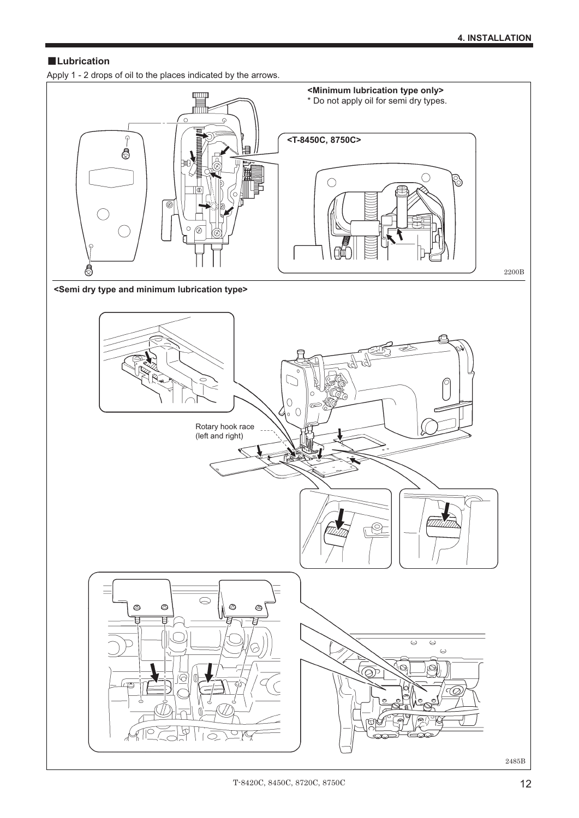#### **Lubrication**

Apply 1 - 2 drops of oil to the places indicated by the arrows.



**<Semi dry type and minimum lubrication type>** 

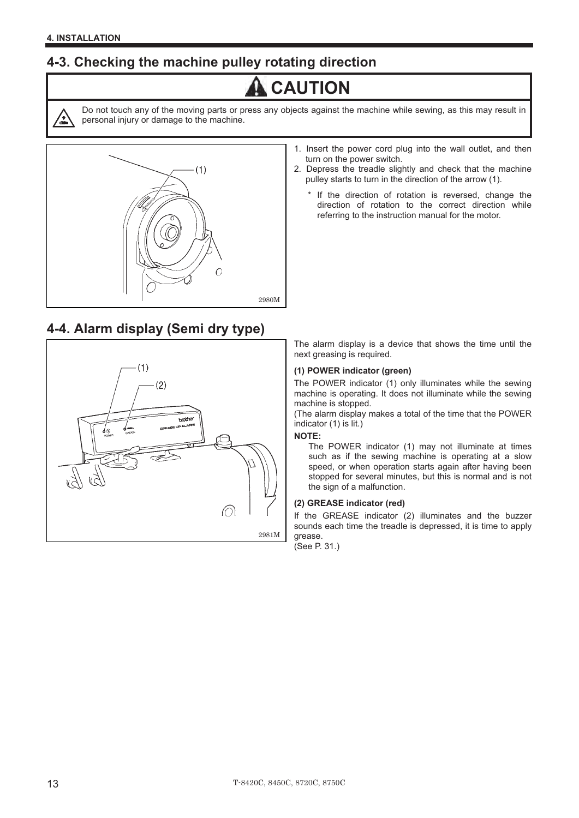### **4-3. Checking the machine pulley rotating direction**

## **A** CAUTION



Do not touch any of the moving parts or press any objects against the machine while sewing, as this may result in personal injury or damage to the machine.



# **4-4. Alarm display (Semi dry type)**-



- 1. Insert the power cord plug into the wall outlet, and then turn on the power switch.
- 2. Depress the treadle slightly and check that the machine pulley starts to turn in the direction of the arrow (1).
	- If the direction of rotation is reversed, change the direction of rotation to the correct direction while referring to the instruction manual for the motor.

The alarm display is a device that shows the time until the next greasing is required.

#### **(1) POWER indicator (green)**

The POWER indicator (1) only illuminates while the sewing machine is operating. It does not illuminate while the sewing machine is stopped.

(The alarm display makes a total of the time that the POWER indicator (1) is lit.) **NOTE:**-

#### **NOTE:**

The POWER indicator (1) may not illuminate at times such as if the sewing machine is operating at a slow speed, or when operation starts again after having been stopped for several minutes, but this is normal and is not the sign of a malfunction.

#### **(2) GREASE indicator (red)**

If the GREASE indicator (2) illuminates and the buzzer sounds each time the treadle is depressed, it is time to apply grease.

(See P. 31.)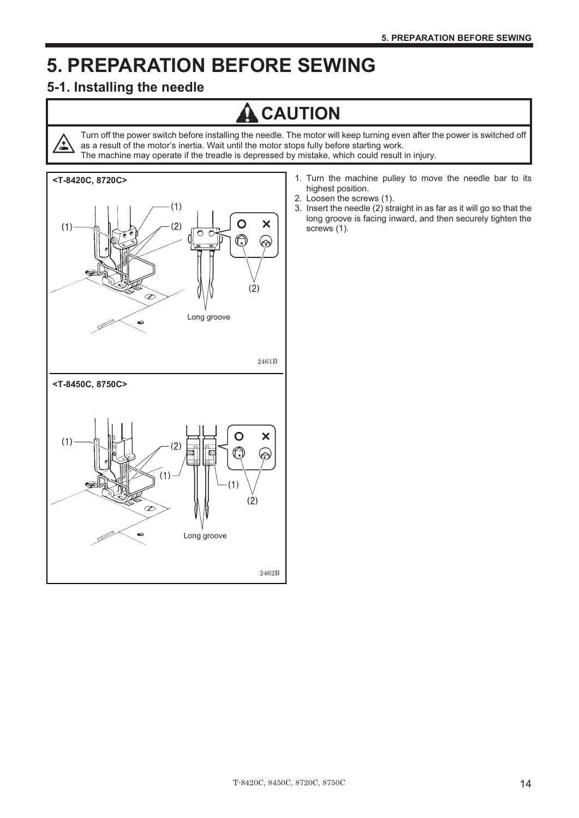## **5. PREPARATION BEFORE SEWING**

### **5-1. Installing the needle**

<u>/•</u>

## **CAUTION**

Turn off the power switch before installing the needle. The motor will keep turning even after the power is switched off as a result of the motor's inertia. Wait until the motor stops fully before starting work. The machine may operate if the treadle is depressed by mistake, which could result in injury.



- 1. Turn the machine pulley to move the needle bar to its highest position.
- 2. Loosen the screws (1).
- 3. Insert the needle (2) straight in as far as it will go so that the long groove is facing inward, and then securely tighten the screws (1).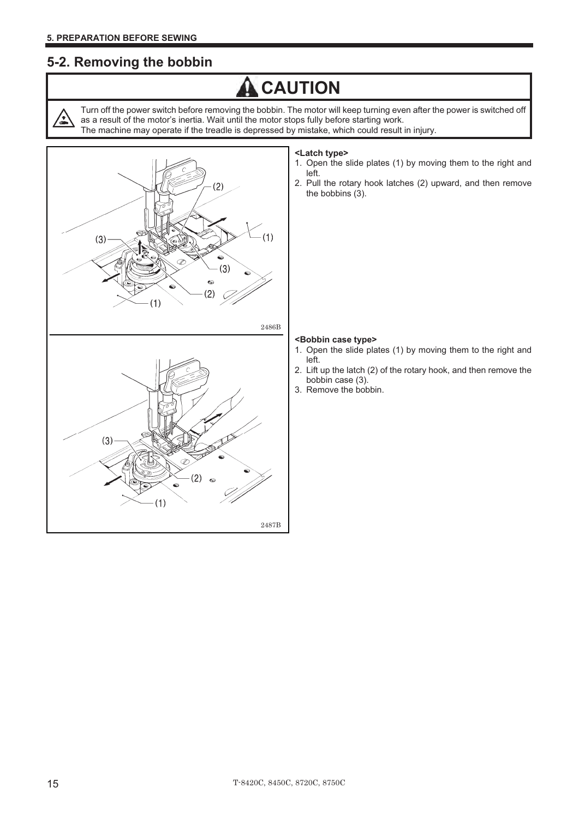′\*

### **5-2. Removing the bobbin**

## **A** CAUTION

Turn off the power switch before removing the bobbin. The motor will keep turning even after the power is switched off as a result of the motor's inertia. Wait until the motor stops fully before starting work.

The machine may operate if the treadle is depressed by mistake, which could result in injury.





#### **<Latch type>**

- 1. Open the slide plates (1) by moving them to the right and left.
- 2. Pull the rotary hook latches (2) upward, and then remove the bobbins (3).

#### **<Bobbin case type>**

- 1. Open the slide plates (1) by moving them to the right and left.
- 2. Lift up the latch (2) of the rotary hook, and then remove the bobbin case (3).
- 3. Remove the bobbin.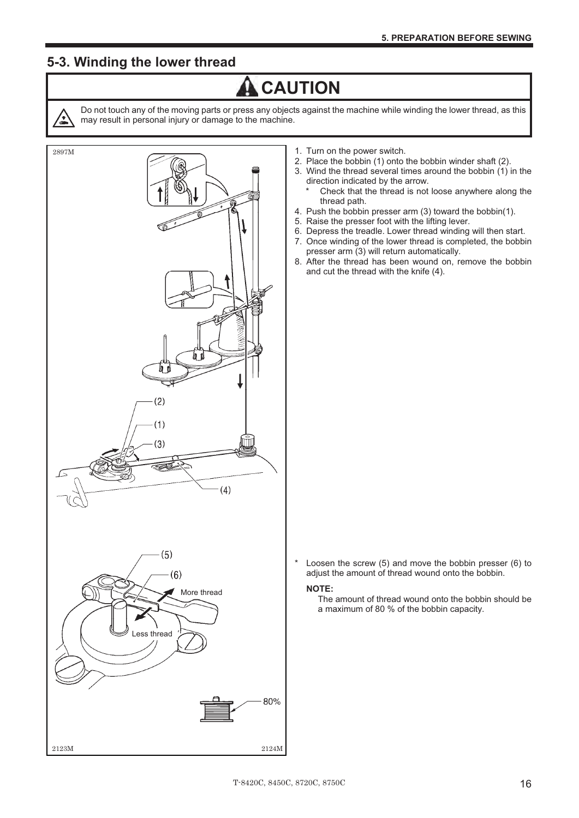### **5-3. Winding the lower thread**



Do not touch any of the moving parts or press any objects against the machine while winding the lower thread, as this may result in personal injury or damage to the machine.

**A** CAUTION



- 1. Turn on the power switch.
- 2. Place the bobbin (1) onto the bobbin winder shaft (2).
- 3. Wind the thread several times around the bobbin (1) in the direction indicated by the arrow.
	- Check that the thread is not loose anywhere along the thread path.
- 4. Push the bobbin presser arm (3) toward the bobbin(1).
- 5. Raise the presser foot with the lifting lever.
- 6. Depress the treadle. Lower thread winding will then start.
- 7. Once winding of the lower thread is completed, the bobbin presser arm (3) will return automatically.
- 8. After the thread has been wound on, remove the bobbin and cut the thread with the knife (4).

\* Loosen the screw (5) and move the bobbin presser (6) to adjust the amount of thread wound onto the bobbin.

#### **NOTE:**

The amount of thread wound onto the bobbin should be a maximum of 80 % of the bobbin capacity.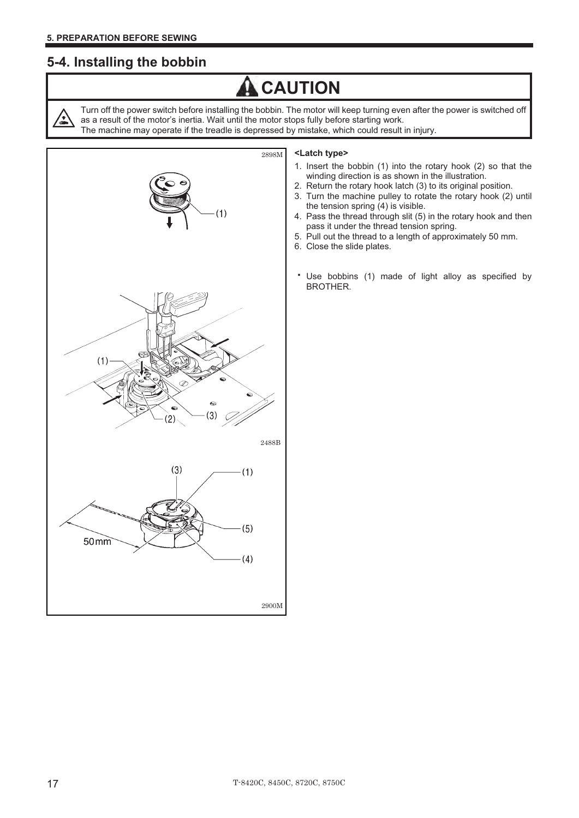### **5-4. Installing the bobbin**

## **A** CAUTION

Turn off the power switch before installing the bobbin. The motor will keep turning even after the power is switched off as a result of the motor's inertia. Wait until the motor stops fully before starting work. The machine may operate if the treadle is depressed by mistake, which could result in injury.



#### **<Latch type>**

- 1. Insert the bobbin (1) into the rotary hook (2) so that the winding direction is as shown in the illustration.
- 2. Return the rotary hook latch (3) to its original position.
- 3. Turn the machine pulley to rotate the rotary hook (2) until the tension spring (4) is visible.
- 4. Pass the thread through slit (5) in the rotary hook and then pass it under the thread tension spring.
- 5. Pull out the thread to a length of approximately 50 mm.
- 6. Close the slide plates.
- Use bobbins (1) made of light alloy as specified by BROTHER.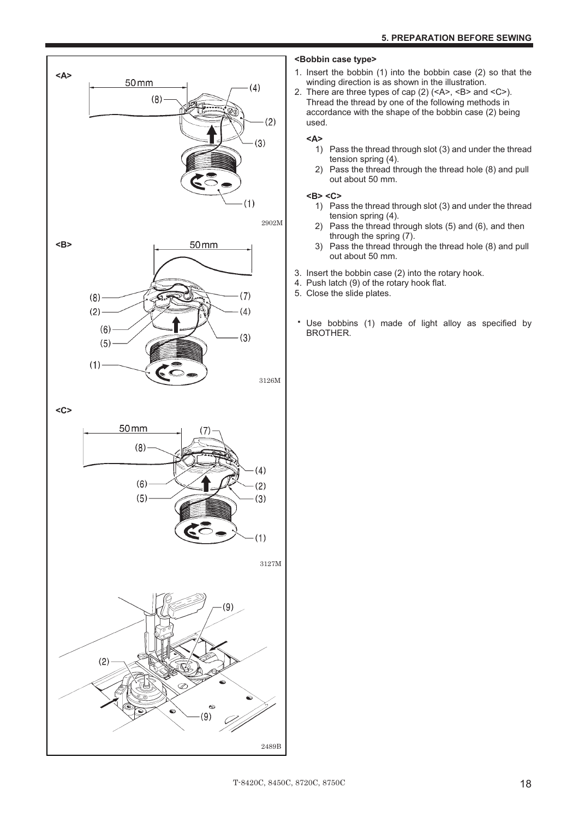![](_page_26_Figure_1.jpeg)

**<C>** 

![](_page_26_Figure_3.jpeg)

#### **<Bobbin case type>**

- 1. Insert the bobbin (1) into the bobbin case (2) so that the winding direction is as shown in the illustration.
- 2. There are three types of cap (2) (<A>, <B> and <C>). Thread the thread by one of the following methods in accordance with the shape of the bobbin case (2) being used.

#### **<A>**

- 1) Pass the thread through slot (3) and under the thread tension spring (4).
- 2) Pass the thread through the thread hole (8) and pull out about 50 mm.

#### **<B> <C>**

- 1) Pass the thread through slot (3) and under the thread tension spring (4).
- 2) Pass the thread through slots (5) and (6), and then through the spring (7).
- 3) Pass the thread through the thread hole (8) and pull out about 50 mm.
- 3. Insert the bobbin case (2) into the rotary hook.
- 4. Push latch (9) of the rotary hook flat.
- 5. Close the slide plates.
- Use bobbins (1) made of light alloy as specified by BROTHER.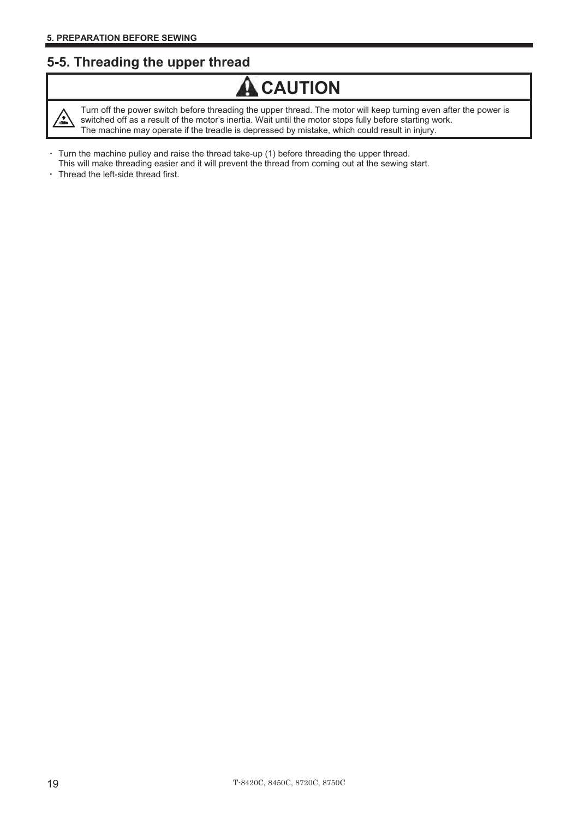### **5-5. Threading the upper thread**

![](_page_27_Picture_2.jpeg)

Turn off the power switch before threading the upper thread. The motor will keep turning even after the power is switched off as a result of the motor's inertia. Wait until the motor stops fully before starting work. The machine may operate if the treadle is depressed by mistake, which could result in injury.

**A** CAUTION

- Turn the machine pulley and raise the thread take-up (1) before threading the upper thread.
- This will make threading easier and it will prevent the thread from coming out at the sewing start.
- Thread the left-side thread first.  $\ddot{\phantom{0}}$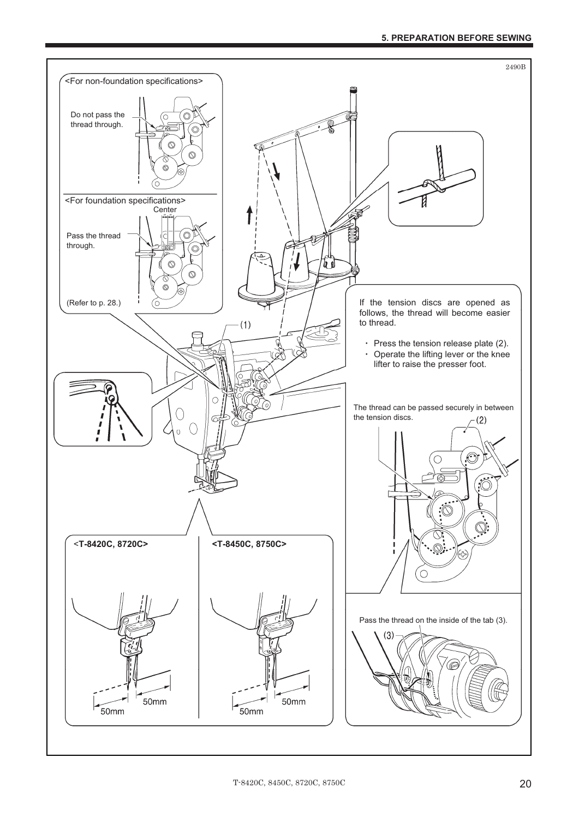![](_page_28_Figure_1.jpeg)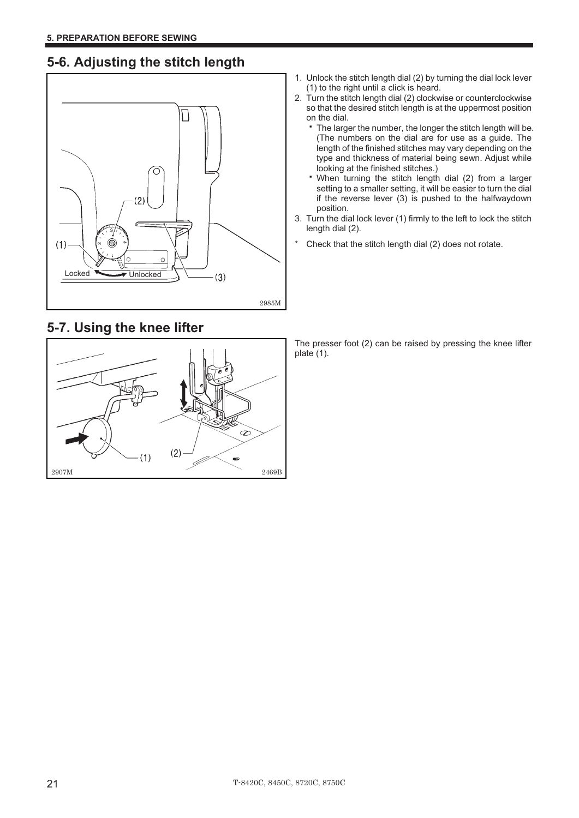## **5-6. Adjusting the stitch length**

![](_page_29_Figure_2.jpeg)

## **5-7. Using the knee lifter**

![](_page_29_Figure_4.jpeg)

- 1. Unlock the stitch length dial (2) by turning the dial lock lever (1) to the right until a click is heard.
- 2. Turn the stitch length dial (2) clockwise or counterclockwise so that the desired stitch length is at the uppermost position on the dial.
	- The larger the number, the longer the stitch length will be. (The numbers on the dial are for use as a guide. The length of the finished stitches may vary depending on the type and thickness of material being sewn. Adjust while looking at the finished stitches.)
	- When turning the stitch length dial (2) from a larger setting to a smaller setting, it will be easier to turn the dial if the reverse lever (3) is pushed to the halfwaydown position.
- 3. Turn the dial lock lever (1) firmly to the left to lock the stitch length dial (2).
- \* Check that the stitch length dial (2) does not rotate.

The presser foot (2) can be raised by pressing the knee lifter plate (1).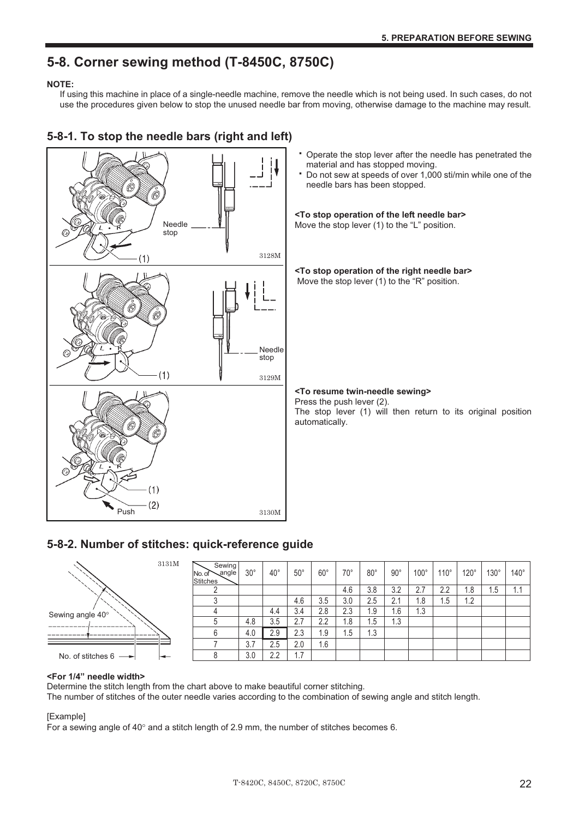## **5-8. Corner sewing method (T-8450C, 8750C)**

#### **NOTE:**

If using this machine in place of a single-needle machine, remove the needle which is not being used. In such cases, do not use the procedures given below to stop the unused needle bar from moving, otherwise damage to the machine may result.

![](_page_30_Figure_4.jpeg)

### **5-8-1. To stop the needle bars (right and left)**

#### **5-8-2. Number of stitches: quick-reference guide**

![](_page_30_Figure_7.jpeg)

| Sewing<br>angle<br>No. of<br><b>Stitches</b> | $30^\circ$ | $40^{\circ}$ | $50^{\circ}$ | $60^{\circ}$ | 70° | $80^{\circ}$ | $90^{\circ}$ | $100^\circ$ | $110^{\circ}$ | $120^\circ$ | $130^\circ$ | $140^\circ$ |
|----------------------------------------------|------------|--------------|--------------|--------------|-----|--------------|--------------|-------------|---------------|-------------|-------------|-------------|
| C                                            |            |              |              |              | 4.6 | 3.8          | 3.2          | 2.7         | 2.2           | 1.8         | 1.5         | 1.1         |
| 3                                            |            |              | 4.6          | 3.5          | 3.0 | 2.5          | 2.1          | 1.8         | 1.5           | 1.2         |             |             |
| 4                                            |            | 4.4          | 3.4          | 2.8          | 2.3 | 1.9          | 1.6          | 1.3         |               |             |             |             |
| 5                                            | 4.8        | 3.5          | 2.7          | 2.2          | 1.8 | 1.5          | 1.3          |             |               |             |             |             |
| 6                                            | 4.0        | 2.9          | 2.3          | 1.9          | 1.5 | 1.3          |              |             |               |             |             |             |
|                                              | 3.7        | 2.5          | 2.0          | 1.6          |     |              |              |             |               |             |             |             |
| 8                                            | 3.0        | 2.2          | 1.7          |              |     |              |              |             |               |             |             |             |

#### **<For 1/4" needle width>**

Determine the stitch length from the chart above to make beautiful corner stitching.

The number of stitches of the outer needle varies according to the combination of sewing angle and stitch length.

#### [Example]

For a sewing angle of  $40^{\circ}$  and a stitch length of 2.9 mm, the number of stitches becomes 6.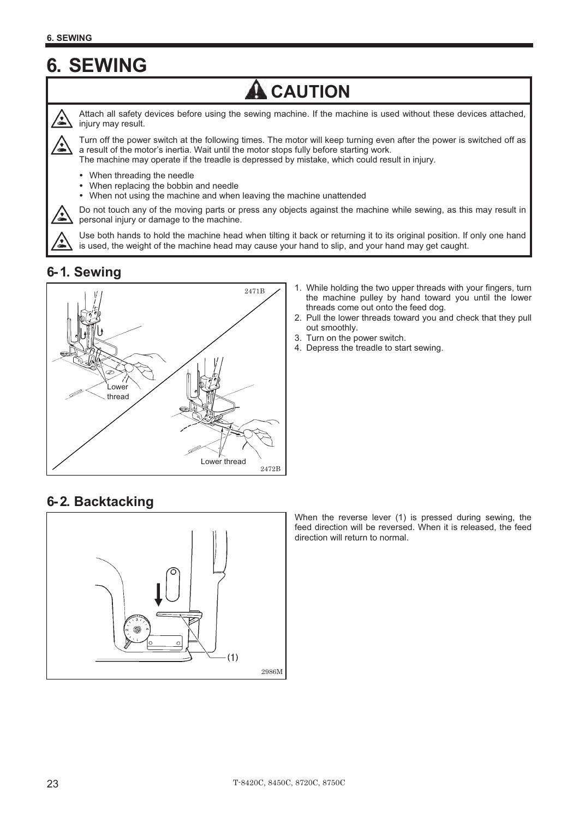## **6. SEWING**

![](_page_31_Picture_2.jpeg)

Attach all safety devices before using the sewing machine. If the machine is used without these devices attached, injury may result.

**A** CAUTION

Turn off the power switch at the following times. The motor will keep turning even after the power is switched off as a result of the motor's inertia. Wait until the motor stops fully before starting work. The machine may operate if the treadle is depressed by mistake, which could result in injury.

- $\bullet$ When threading the needle
- -When replacing the bobbin and needle
- $\bullet$ When not using the machine and when leaving the machine unattended

Do not touch any of the moving parts or press any objects against the machine while sewing, as this may result in personal injury or damage to the machine.

Use both hands to hold the machine head when tilting it back or returning it to its original position. If only one hand is used, the weight of the machine head may cause your hand to slip, and your hand may get caught.

### **6- 1. Sewing**

![](_page_31_Figure_11.jpeg)

- 1. While holding the two upper threads with your fingers, turn the machine pulley by hand toward you until the lower threads come out onto the feed dog.
- 2. Pull the lower threads toward you and check that they pull out smoothly.
- 3. Turn on the power switch.
- 4. Depress the treadle to start sewing.

### **6- 2. Backtacking**

![](_page_31_Figure_17.jpeg)

When the reverse lever (1) is pressed during sewing, the feed direction will be reversed. When it is released, the feed direction will return to normal.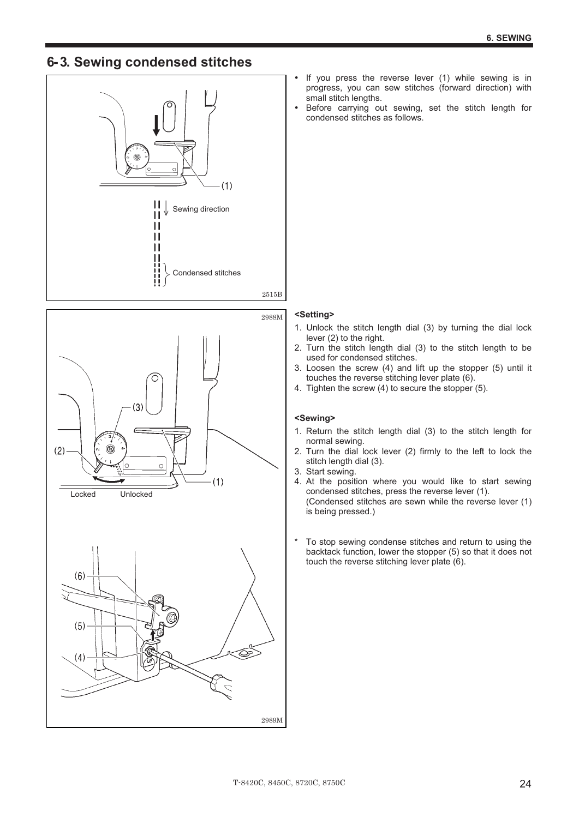### **6- 3. Sewing condensed stitches**

![](_page_32_Picture_2.jpeg)

![](_page_32_Figure_3.jpeg)

![](_page_32_Figure_4.jpeg)

- $\bullet$  If you press the reverse lever (1) while sewing is in progress, you can sew stitches (forward direction) with small stitch lengths.
- - Before carrying out sewing, set the stitch length for condensed stitches as follows.

#### **<Setting>**

- 1. Unlock the stitch length dial (3) by turning the dial lock lever (2) to the right.
- 2. Turn the stitch length dial (3) to the stitch length to be used for condensed stitches.
- 3. Loosen the screw (4) and lift up the stopper (5) until it touches the reverse stitching lever plate (6).
- 4. Tighten the screw (4) to secure the stopper (5).

#### **<Sewing>**

- 1. Return the stitch length dial (3) to the stitch length for normal sewing.
- 2. Turn the dial lock lever (2) firmly to the left to lock the stitch length dial (3).
- 3. Start sewing.
- 4. At the position where you would like to start sewing condensed stitches, press the reverse lever (1). (Condensed stitches are sewn while the reverse lever (1) is being pressed.)
- \* To stop sewing condense stitches and return to using the backtack function, lower the stopper (5) so that it does not touch the reverse stitching lever plate (6).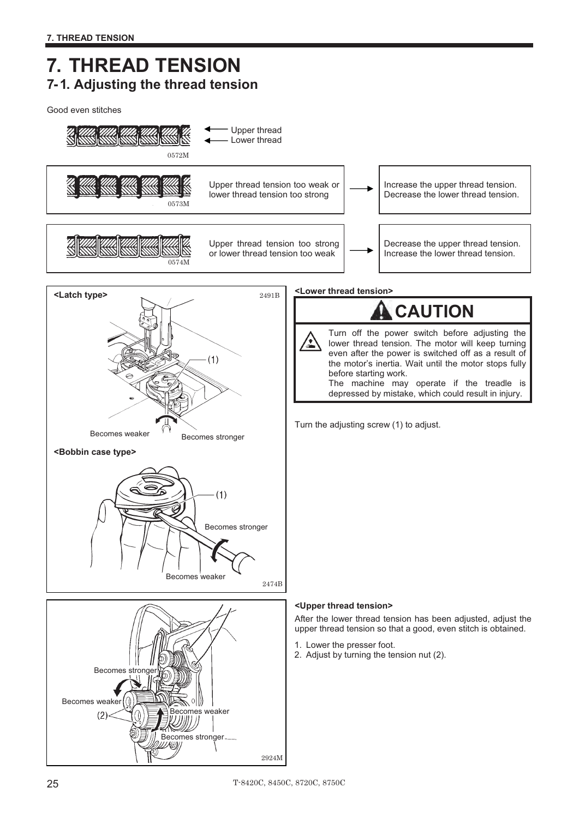## **7. THREAD TENSION 7- 1. Adjusting the thread tension**

Good even stitches

![](_page_33_Figure_3.jpeg)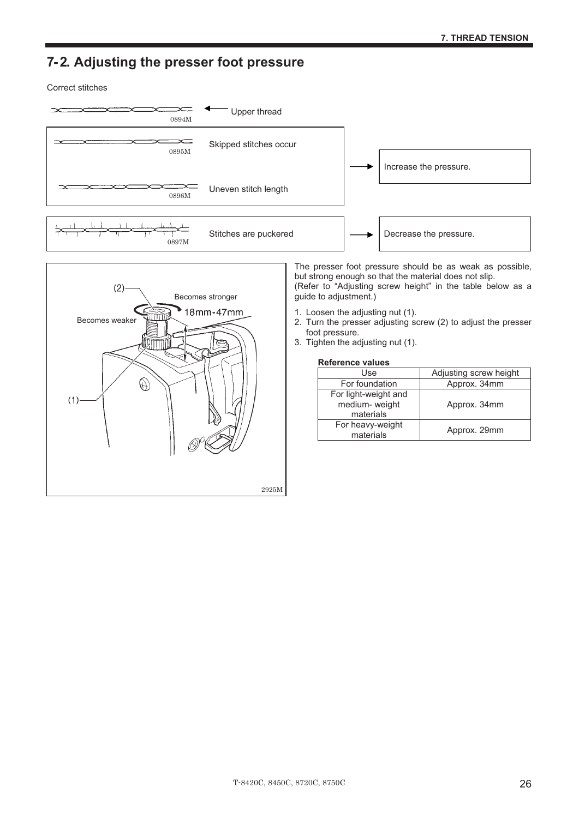### **7- 2. Adjusting the presser foot pressure**

Correct stitches

![](_page_34_Figure_3.jpeg)

![](_page_34_Figure_4.jpeg)

The presser foot pressure should be as weak as possible, but strong enough so that the material does not slip. (Refer to "Adjusting screw height" in the table below as a guide to adjustment.)

- 1. Loosen the adjusting nut (1).
- 2. Turn the presser adjusting screw (2) to adjust the presser foot pressure.
- 3. Tighten the adjusting nut (1).

## nten the adjusting r<br>**Reference values**

| Use                  | Adjusting screw height |
|----------------------|------------------------|
| For foundation       | Approx. 34mm           |
| For light-weight and |                        |
| medium- weight       | Approx. 34mm           |
| materials            |                        |
| For heavy-weight     | Approx. 29mm           |
| materials            |                        |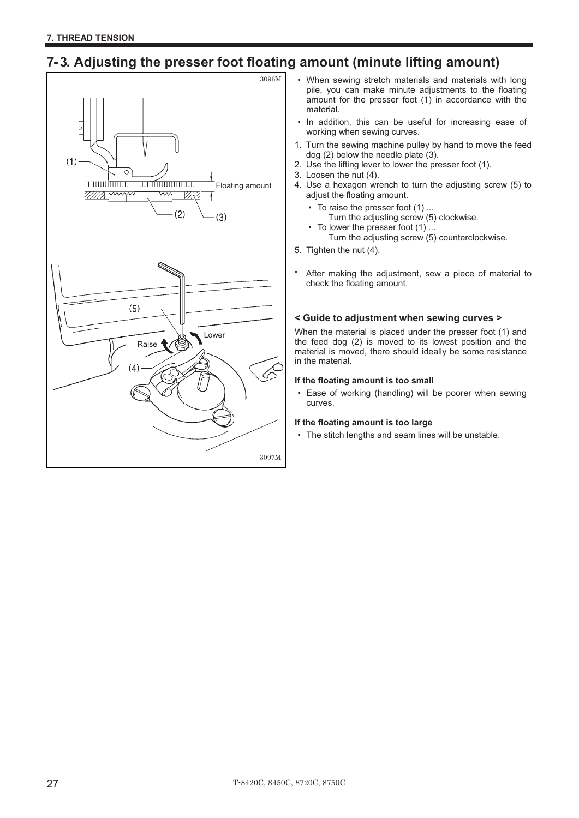## **7- 3. Adjusting the presser foot floating amount (minute lifting amount)**

![](_page_35_Figure_2.jpeg)

- When sewing stretch materials and materials with long pile, you can make minute adjustments to the floating amount for the presser foot (1) in accordance with the material.
- In addition, this can be useful for increasing ease of working when sewing curves.
- 1. Turn the sewing machine pulley by hand to move the feed dog (2) below the needle plate (3).
- 2. Use the lifting lever to lower the presser foot (1).
- 3. Loosen the nut (4).
- 4. Use a hexagon wrench to turn the adjusting screw (5) to adjust the floating amount.
	- To raise the presser foot (1) ...
	- Turn the adjusting screw (5) clockwise.
	- To lower the presser foot  $(1)$ ... Turn the adjusting screw (5) counterclockwise.
- 5. Tighten the nut (4).
- After making the adjustment, sew a piece of material to check the floating amount.

#### **< Guide to adjustment when sewing curves >**

When the material is placed under the presser foot (1) and the feed dog (2) is moved to its lowest position and the material is moved, there should ideally be some resistance in the material.

#### **If the floating amount is too small**

• Ease of working (handling) will be poorer when sewing curves.

#### **If the floating amount is too large**

• The stitch lengths and seam lines will be unstable.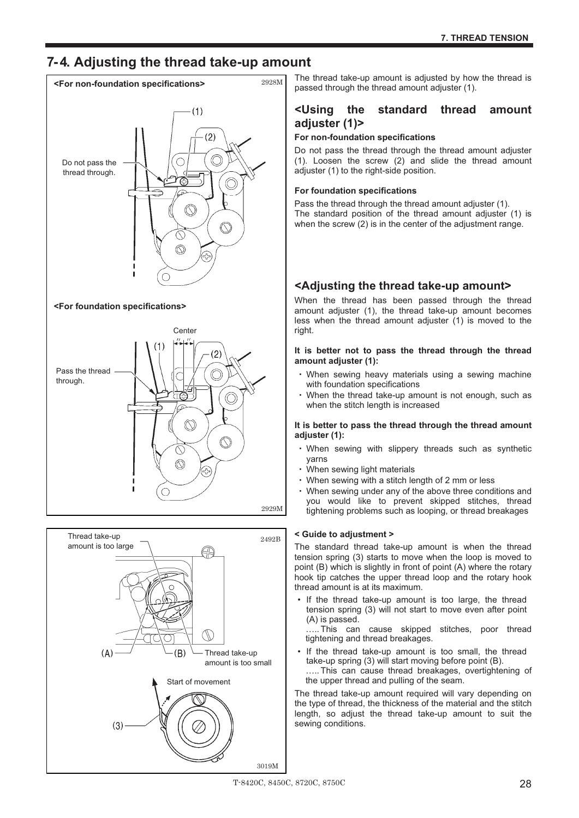## **7- 4. Adjusting the thread take-up amount**

![](_page_36_Figure_2.jpeg)

#### **<For foundation specifications>**

![](_page_36_Figure_4.jpeg)

![](_page_36_Figure_5.jpeg)

The thread take-up amount is adjusted by how the thread is passed through the thread amount adjuster (1).

#### **<Using the standard thread amount adjuster (1)> For non-foundation specifications**-

Do not pass the thread through the thread amount adjuster (1). Loosen the screw (2) and slide the thread amount adjuster (1) to the right-side position.

## adjuster (1) to the right-side posi<br>**For foundation specifications**

Pass the thread through the thread amount adjuster (1). The standard position of the thread amount adjuster (1) is when the screw (2) is in the center of the adjustment range.

# **<Adjusting the thread take-up amount>**-

When the thread has been passed through the thread amount adjuster (1), the thread take-up amount becomes less when the thread amount adjuster (1) is moved to the right.

#### **It is better not to pass the thread through the thread amount adjuster (1):**amount adjuster (1):

- When sewing heavy materials using a sewing machine with foundation specifications
- When the thread take-up amount is not enough, such as when the stitch length is increased

#### **It is better to pass the thread through the thread amount adjuster (1):**-

- When sewing with slippery threads such as synthetic yarns
- yarns<br>• When sewing light materials ÷,
- When sewing with a stitch length of 2 mm or less
- When sewing under any of the above three conditions and you would like to prevent skipped stitches, thread tightening problems such as looping, or thread breakages

#### **< Guide to adjustment >**

The standard thread take-up amount is when the thread tension spring (3) starts to move when the loop is moved to point (B) which is slightly in front of point (A) where the rotary hook tip catches the upper thread loop and the rotary hook thread amount is at its maximum.

If the thread take-up amount is too large, the thread tension spring (3) will not start to move even after point (A) is passed.

….. This can cause skipped stitches, poor thread tightening and thread breakages.

• If the thread take-up amount is too small, the thread take-up spring (3) will start moving before point (B). ..... This can cause thread breakages, overtightening of the upper thread and pulling of the seam.

The thread take-up amount required will vary depending on the type of thread, the thickness of the material and the stitch length, so adjust the thread take-up amount to suit the sewing conditions.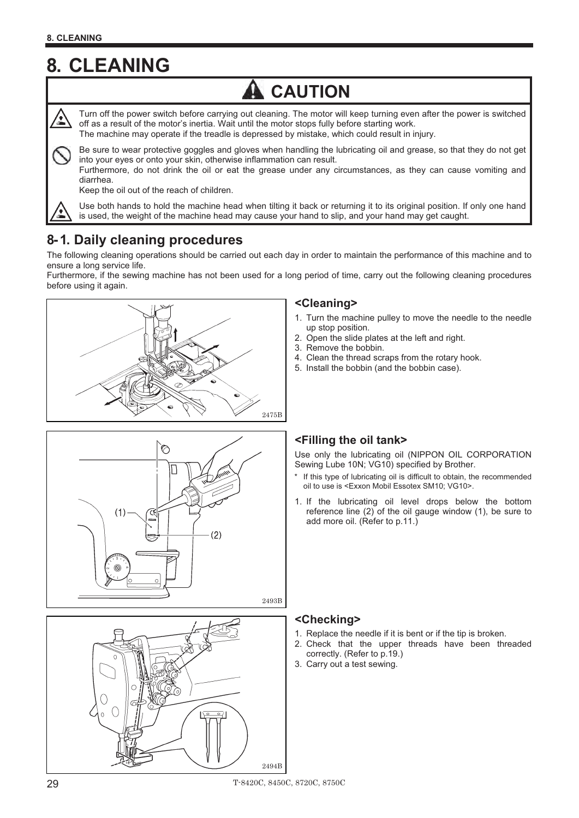## **8. CLEANING**

## **CAUTION**

Turn off the power switch before carrying out cleaning. The motor will keep turning even after the power is switched off as a result of the motor's inertia. Wait until the motor stops fully before starting work.

The machine may operate if the treadle is depressed by mistake, which could result in injury.

Be sure to wear protective goggles and gloves when handling the lubricating oil and grease, so that they do not get into your eyes or onto your skin, otherwise inflammation can result.

Furthermore, do not drink the oil or eat the grease under any circumstances, as they can cause vomiting and diarrhea.

Keep the oil out of the reach of children.

![](_page_37_Picture_8.jpeg)

Use both hands to hold the machine head when tilting it back or returning it to its original position. If only one hand is used, the weight of the machine head may cause your hand to slip, and your hand may get caught.

### **8- 1. Daily cleaning procedures**

The following cleaning operations should be carried out each day in order to maintain the performance of this machine and to ensure a long service life.

Furthermore, if the sewing machine has not been used for a long period of time, carry out the following cleaning procedures before using it again.

![](_page_37_Figure_13.jpeg)

![](_page_37_Figure_14.jpeg)

![](_page_37_Figure_15.jpeg)

#### **<Cleaning>**

- 1. Turn the machine pulley to move the needle to the needle up stop position.
- 2. Open the slide plates at the left and right.
- 3. Remove the bobbin.
- 4. Clean the thread scraps from the rotary hook.
- 5. Install the bobbin (and the bobbin case).

### **<Filling the oil tank>**

Use only the lubricating oil (NIPPON OIL CORPORATION Sewing Lube 10N; VG10) specified by Brother.

- If this type of lubricating oil is difficult to obtain, the recommended oil to use is <Exxon Mobil Essotex SM10; VG10>.
- 1. If the lubricating oil level drops below the bottom reference line (2) of the oil gauge window (1), be sure to add more oil. (Refer to p.11.)

#### **<Checking>**

- 1. Replace the needle if it is bent or if the tip is broken.
- 2. Check that the upper threads have been threaded correctly. (Refer to p.19.)
- 3. Carry out a test sewing.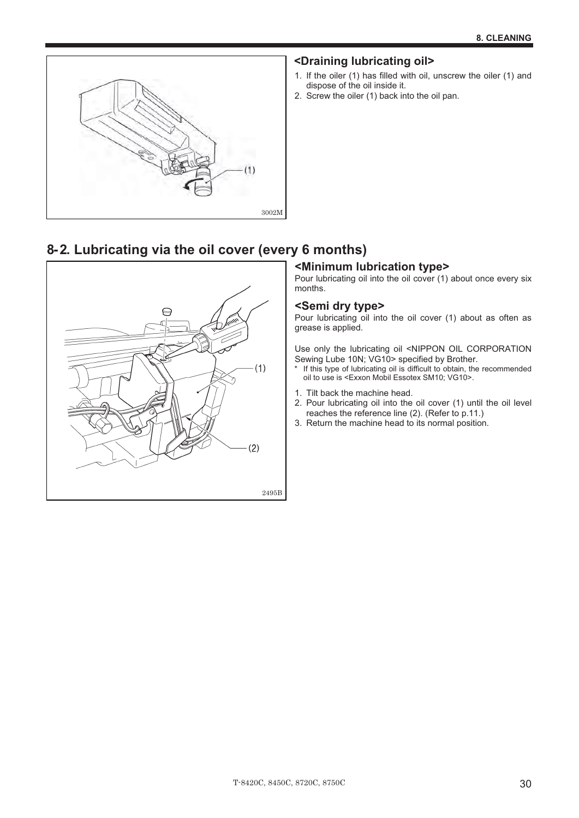![](_page_38_Picture_1.jpeg)

#### **<Draining lubricating oil>**

- 1. If the oiler (1) has filled with oil, unscrew the oiler (1) and dispose of the oil inside it.
- 2. Screw the oiler (1) back into the oil pan.

## **8- 2. Lubricating via the oil cover (every 6 months)**

![](_page_38_Figure_6.jpeg)

#### **<Minimum lubrication type>**

Pour lubricating oil into the oil cover (1) about once every six months.

#### **<Semi dry type>**

Pour lubricating oil into the oil cover (1) about as often as grease is applied.

Use only the lubricating oil <NIPPON OIL CORPORATION Sewing Lube 10N; VG10> specified by Brother.

- \* If this type of lubricating oil is difficult to obtain, the recommended oil to use is <Exxon Mobil Essotex SM10; VG10>.
- 1. Tilt back the machine head.
- 2. Pour lubricating oil into the oil cover (1) until the oil level reaches the reference line (2). (Refer to p.11.)
- 3. Return the machine head to its normal position.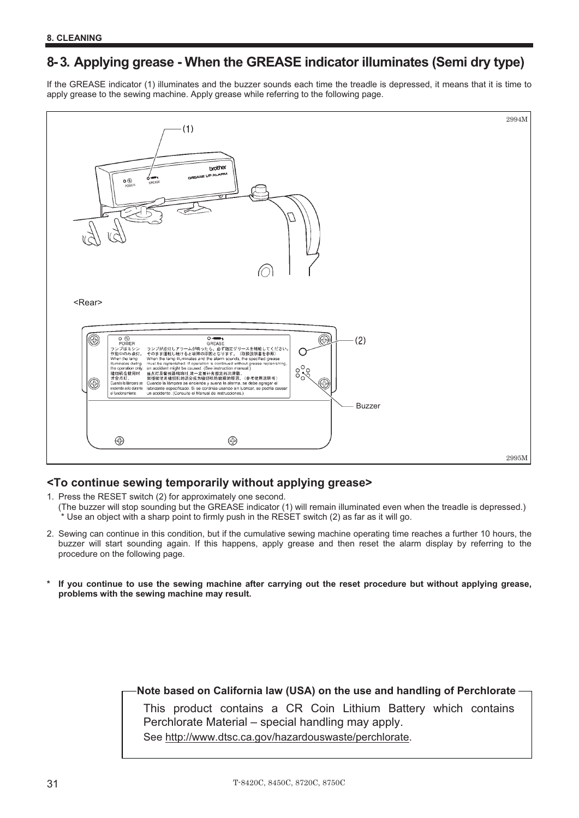### **8- 3. Applying grease - When the GREASE indicator illuminates (Semi dry type)**

If the GREASE indicator (1) illuminates and the buzzer sounds each time the treadle is depressed, it means that it is time to apply grease to the sewing machine. Apply grease while referring to the following page.

![](_page_39_Figure_3.jpeg)

#### **<To continue sewing temporarily without applying grease>**

1. Press the RESET switch (2) for approximately one second.

- (The buzzer will stop sounding but the GREASE indicator (1) will remain illuminated even when the treadle is depressed.) \* Use an object with a sharp point to firmly push in the RESET switch (2) as far as it will go.
- 2. Sewing can continue in this condition, but if the cumulative sewing machine operating time reaches a further 10 hours, the buzzer will start sounding again. If this happens, apply grease and then reset the alarm display by referring to the procedure on the following page.
- If you continue to use the sewing machine after carrying out the reset procedure but without applying grease, **problems with the sewing machine may result.**

#### **Note based on California law (USA) on the use and handling of Perchlorate**

This product contains a CR Coin Lithium Battery which contains Perchlorate Material – special handling may apply.

See http://www.dtsc.ca.gov/hazardouswaste/perchlorate.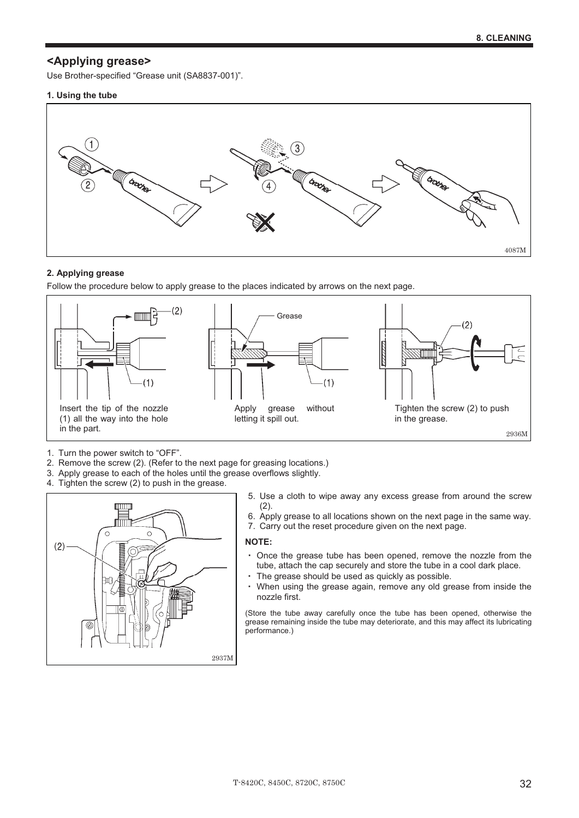#### **<Applying grease>**

Use Brother-specified "Grease unit (SA8837-001)".

#### **1. Using the tube**

![](_page_40_Figure_4.jpeg)

#### **2. Applying grease**

Follow the procedure below to apply grease to the places indicated by arrows on the next page.

![](_page_40_Figure_7.jpeg)

- 1. Turn the power switch to "OFF".
- 2. Remove the screw (2). (Refer to the next page for greasing locations.)
- 3. Apply grease to each of the holes until the grease overflows slightly.
- 4. Tighten the screw (2) to push in the grease.

![](_page_40_Figure_12.jpeg)

- 5. Use a cloth to wipe away any excess grease from around the screw (2).
- 6. Apply grease to all locations shown on the next page in the same way.
- 7. Carry out the reset procedure given on the next page.

#### **NOTE:**

- Once the grease tube has been opened, remove the nozzle from the tube, attach the cap securely and store the tube in a cool dark place. a.
- time, attach the cap securely and store the tube in a<br>The grease should be used as quickly as possible.
- When using the grease again, remove any old grease from inside the nozzle first.

(Store the tube away carefully once the tube has been opened, otherwise the grease remaining inside the tube may deteriorate, and this may affect its lubricating performance.)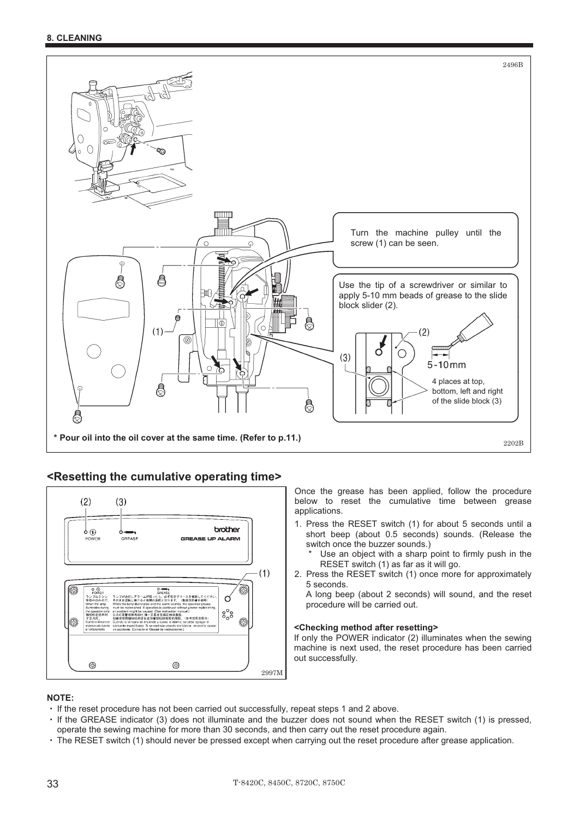![](_page_41_Picture_1.jpeg)

#### **<Resetting the cumulative operating time>**

![](_page_41_Figure_3.jpeg)

Once the grease has been applied, follow the procedure below to reset the cumulative time between grease applications.

1. Press the RESET switch (1) for about 5 seconds until a short beep (about 0.5 seconds) sounds. (Release the switch once the buzzer sounds.)

Use an object with a sharp point to firmly push in the RESET switch (1) as far as it will go.

2. Press the RESET switch (1) once more for approximately 5 seconds.

A long beep (about 2 seconds) will sound, and the reset procedure will be carried out.

#### **<Checking method after resetting>**

If only the POWER indicator (2) illuminates when the sewing machine is next used, the reset procedure has been carried out successfully.

#### **NOTE:**  IV.

- If the reset procedure has not been carried out successfully, repeat steps 1 and 2 above.
- If the GREASE indicator (3) does not illuminate and the buzzer does not sound when the RESET switch (1) is pressed, operate the sewing machine for more than 30 seconds, and then carry out the reset procedure again.
- The RESET switch (1) should never be pressed except when carrying out the reset procedure after grease application.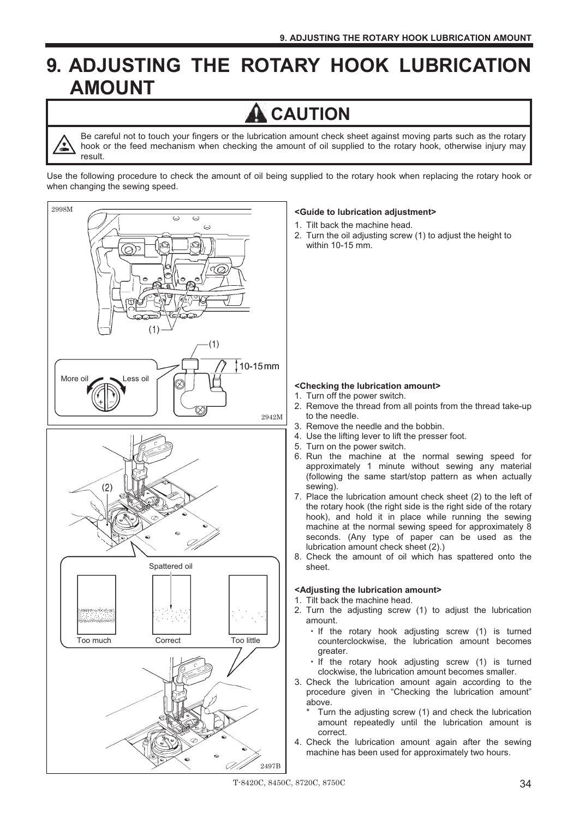## **9. ADJUSTING THE ROTARY HOOK LUBRICATION AMOUNT**

## **CAUTION**

Be careful not to touch your fingers or the lubrication amount check sheet against moving parts such as the rotary hook or the feed mechanism when checking the amount of oil supplied to the rotary hook, otherwise injury may result.

Use the following procedure to check the amount of oil being supplied to the rotary hook when replacing the rotary hook or when changing the sewing speed.

![](_page_42_Figure_5.jpeg)

#### **<Guide to lubrication adjustment>**

- 1. Tilt back the machine head.
- 2. Turn the oil adjusting screw (1) to adjust the height to within 10-15 mm.

#### **<Checking the lubrication amount>**

- 1. Turn off the power switch.
- 2. Remove the thread from all points from the thread take-up to the needle.
- 3. Remove the needle and the bobbin.
- 4. Use the lifting lever to lift the presser foot.
- 5. Turn on the power switch.
- 6. Run the machine at the normal sewing speed for approximately 1 minute without sewing any material (following the same start/stop pattern as when actually sewing).
- 7. Place the lubrication amount check sheet (2) to the left of the rotary hook (the right side is the right side of the rotary hook), and hold it in place while running the sewing machine at the normal sewing speed for approximately 8 seconds. (Any type of paper can be used as the lubrication amount check sheet (2).)
- 8. Check the amount of oil which has spattered onto the sheet.

#### **<Adjusting the lubrication amount>**

- 1. Tilt back the machine head.
- 2. Turn the adjusting screw (1) to adjust the lubrication amount.
	- . If the rotary hook adjusting screw (1) is turned counterclockwise, the lubrication amount becomes greater.
	- . If the rotary hook adjusting screw (1) is turned clockwise, the lubrication amount becomes smaller.
- 3. Check the lubrication amount again according to the procedure given in "Checking the lubrication amount" above.
	- Turn the adjusting screw (1) and check the lubrication amount repeatedly until the lubrication amount is correct.
- 4. Check the lubrication amount again after the sewing machine has been used for approximately two hours.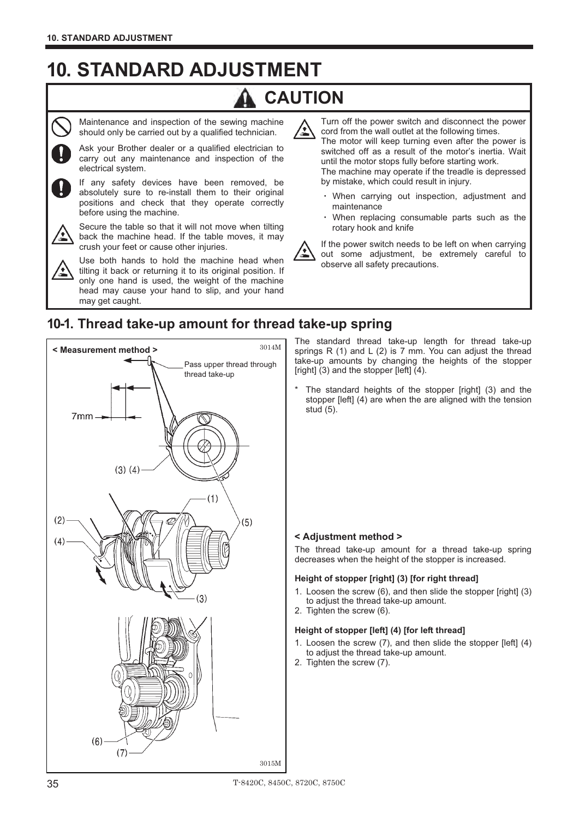## **10. STANDARD ADJUSTMENT**

## **CAUTION**

![](_page_43_Picture_3.jpeg)

Maintenance and inspection of the sewing machine should only be carried out by a qualified technician.

Ask your Brother dealer or a qualified electrician to carry out any maintenance and inspection of the electrical system.

If any safety devices have been removed, be absolutely sure to re-install them to their original positions and check that they operate correctly before using the machine.

![](_page_43_Picture_7.jpeg)

Secure the table so that it will not move when tilting back the machine head. If the table moves, it may crush your feet or cause other injuries.

Use both hands to hold the machine head when tilting it back or returning it to its original position. If only one hand is used, the weight of the machine head may cause your hand to slip, and your hand may get caught.

Turn off the power switch and disconnect the power cord from the wall outlet at the following times.

The motor will keep turning even after the power is switched off as a result of the motor's inertia. Wait until the motor stops fully before starting work. The machine may operate if the treadle is depressed by mistake, which could result in injury. -

- . When carrying out inspection, adjustment and maintenance
- When replacing consumable parts such as the rotary hook and knife

![](_page_43_Picture_14.jpeg)

If the power switch needs to be left on when carrying out some adjustment, be extremely careful to observe all safety precautions.

### **10-1. Thread take-up amount for thread take-up spring**

![](_page_43_Picture_17.jpeg)

The standard thread take-up length for thread take-up springs R (1) and L (2) is 7 mm. You can adjust the thread take-up amounts by changing the heights of the stopper [right] (3) and the stopper [left] (4).

The standard heights of the stopper [right] (3) and the stopper [left] (4) are when the are aligned with the tension The stan<br>stopper [I<br>stud (5). stud  $(5)$ .

#### **< Adjustment method >**

The thread take-up amount for a thread take-up spring decreases when the height of the stopper is increased.

## decreases when the height of the stopper is incre<br>**Height of stopper [right] (3) [for right thread]**

- 1. Loosen the screw (6), and then slide the stopper [right] (3) to adjust the thread take-up amount.
- 2. Tighten the screw (6).

#### **Height of stopper [left] (4) [for left thread]**

- 1. Loosen the screw (7), and then slide the stopper [left] (4) to adjust the thread take-up amount.
- 2. Tighten the screw (7).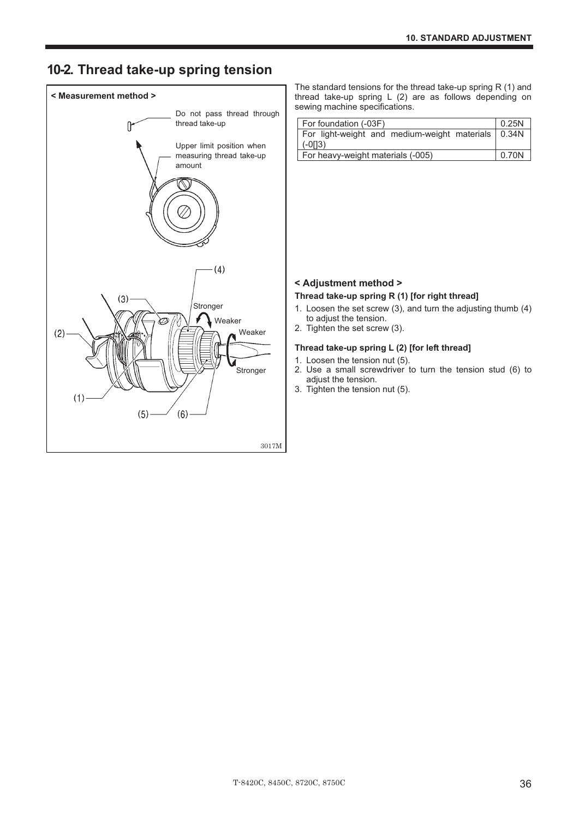### **10-2. Thread take-up spring tension**

![](_page_44_Figure_2.jpeg)

The standard tensions for the thread take-up spring R (1) and thread take-up spring L (2) are as follows depending on sewing machine specifications.

| For foundation (-03F)                                | 0.25N |
|------------------------------------------------------|-------|
| For light-weight and medium-weight materials   0.34N |       |
| $(-013)$                                             |       |
| For heavy-weight materials (-005)                    | 0.70N |

#### **< Adjustment method >**

#### **Thread take-up spring R (1) [for right thread]**

- 1. Loosen the set screw (3), and turn the adjusting thumb (4) to adjust the tension.
- 2. Tighten the set screw (3).

#### **Thread take-up spring L (2) [for left thread]**

- 1. Loosen the tension nut (5).
- 2. Use a small screwdriver to turn the tension stud (6) to adjust the tension.
- 3. Tighten the tension nut (5).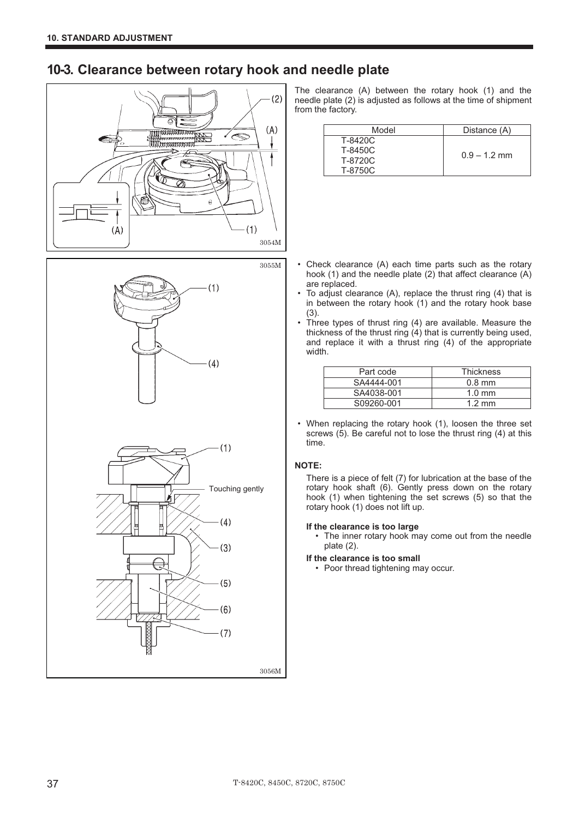### **10-3. Clearance between rotary hook and needle plate**

![](_page_45_Figure_2.jpeg)

![](_page_45_Figure_3.jpeg)

The clearance (A) between the rotary hook (1) and the needle plate (2) is adjusted as follows at the time of shipment from the factory.

| Model   | Distance (A)   |
|---------|----------------|
| T-8420C |                |
| T-8450C |                |
| T-8720C | $0.9 - 1.2$ mm |
| T-8750C |                |

- Check clearance (A) each time parts such as the rotary hook (1) and the needle plate (2) that affect clearance (A) are replaced.
- To adjust clearance (A), replace the thrust ring (4) that is in between the rotary hook (1) and the rotary hook base (3).
- Three types of thrust ring (4) are available. Measure the thickness of the thrust ring (4) that is currently being used, and replace it with a thrust ring (4) of the appropriate width.

| Part code  | <b>Thickness</b> |
|------------|------------------|
| SA4444-001 | $0.8$ mm         |
| SA4038-001 | $1.0 \text{ mm}$ |
| S09260-001 | $1.2 \text{ mm}$ |

• When replacing the rotary hook (1), loosen the three set screws (5). Be careful not to lose the thrust ring (4) at this time.

#### **NOTE:**

There is a piece of felt (7) for lubrication at the base of the rotary hook shaft (6). Gently press down on the rotary hook (1) when tightening the set screws (5) so that the rotary hook (1) does not lift up.

#### **If the clearance is too large**

- The inner rotary hook may come out from the needle plate (2).
- **If the clearance is too small** 
	- Poor thread tightening may occur.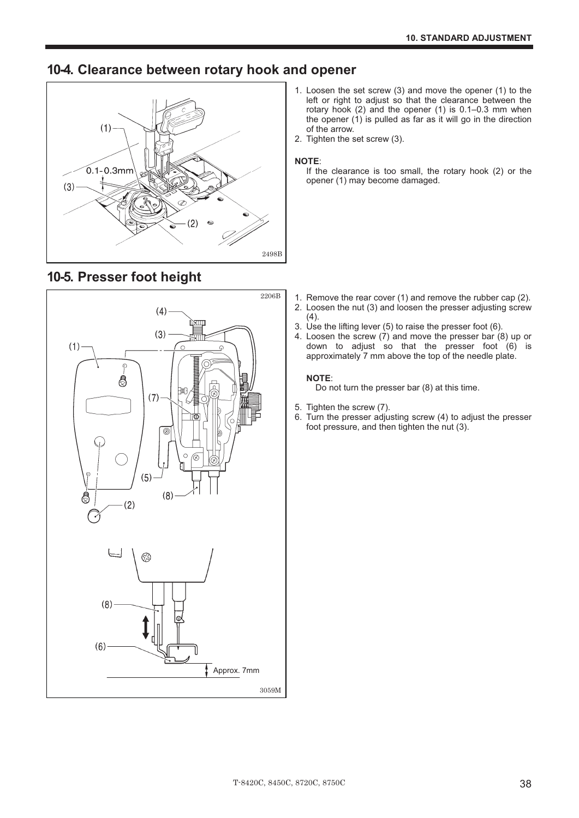### **10-4. Clearance between rotary hook and opener**

![](_page_46_Figure_2.jpeg)

- 1. Loosen the set screw (3) and move the opener (1) to the left or right to adjust so that the clearance between the rotary hook (2) and the opener (1) is 0.1–0.3 mm when the opener (1) is pulled as far as it will go in the direction of the arrow.
- 2. Tighten the set screw (3).

#### **NOTE**:

If the clearance is too small, the rotary hook (2) or the opener (1) may become damaged.

![](_page_46_Figure_7.jpeg)

### **10-5. Presser foot height**

- 1. Remove the rear cover (1) and remove the rubber cap (2).
- 2. Loosen the nut (3) and loosen the presser adjusting screw  $(4).$
- 3. Use the lifting lever (5) to raise the presser foot (6).
- 4. Loosen the screw  $(7)$  and move the presser bar  $(8)$  up or down to adjust so that the presser foot (6) is approximately 7 mm above the top of the needle plate.

#### **NOTE**:

Do not turn the presser bar (8) at this time.

- 5. Tighten the screw (7).
- 6. Turn the presser adjusting screw (4) to adjust the presser foot pressure, and then tighten the nut (3).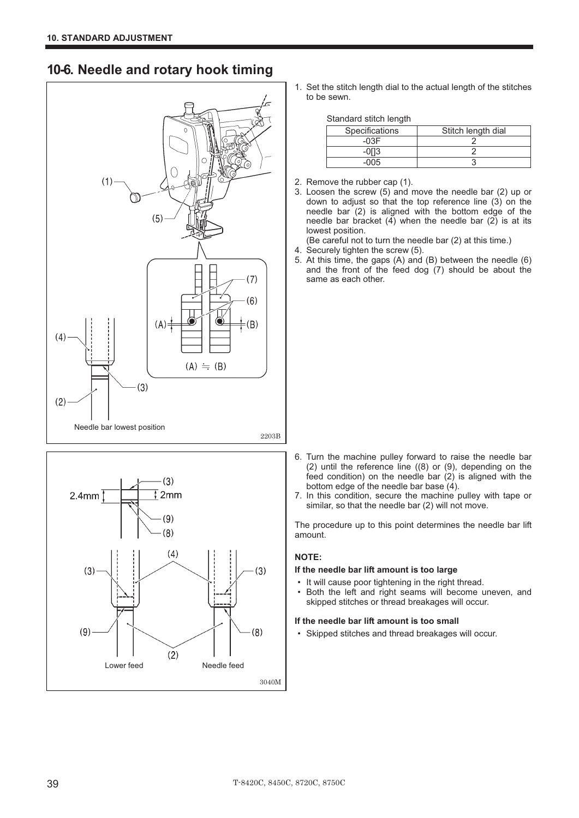### **10-6. Needle and rotary hook timing**

![](_page_47_Figure_2.jpeg)

![](_page_47_Figure_3.jpeg)

1. Set the stitch length dial to the actual length of the stitches to be sewn.

| Specifications | Stitch length dial |
|----------------|--------------------|
| -∩?F           |                    |
|                |                    |
| .ስበ5           |                    |

- 2. Remove the rubber cap (1).
- 3. Loosen the screw (5) and move the needle bar (2) up or down to adjust so that the top reference line (3) on the needle bar  $(2)$  is aligned with the bottom edge of the needle bar bracket  $(4)$  when the needle bar  $(2)$  is at its lowest position.
	- (Be careful not to turn the needle bar (2) at this time.)
- 4. Securely tighten the screw (5).
- 5. At this time, the gaps (A) and (B) between the needle (6) and the front of the feed dog (7) should be about the same as each other.

- 6. Turn the machine pulley forward to raise the needle bar (2) until the reference line ((8) or (9), depending on the feed condition) on the needle bar (2) is aligned with the bottom edge of the needle bar base  $(4)$ .
- 7. In this condition, secure the machine pulley with tape or similar, so that the needle bar (2) will not move.

The procedure up to this point determines the needle bar lift amount.

#### **NOTE:**

## **If the needle bar lift amount is too large**-

- It will cause poor tightening in the right thread.<br>• Both the left and right seams will become u
- Both the left and right seams will become uneven. and skipped stitches or thread breakages will occur.

## **If the needle bar lift amount is too small**-

• Skipped stitches and thread breakages will occur.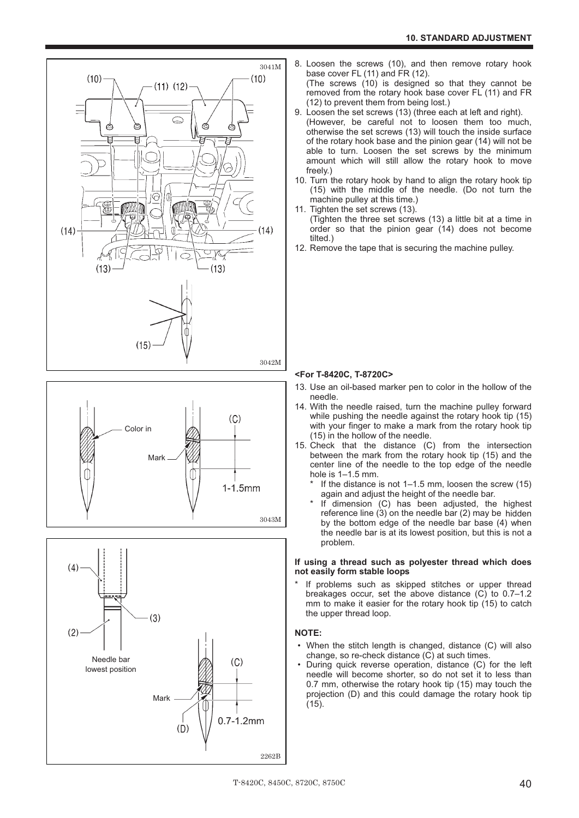![](_page_48_Figure_1.jpeg)

![](_page_48_Figure_2.jpeg)

![](_page_48_Figure_3.jpeg)

8. Loosen the screws (10), and then remove rotary hook base cover FL (11) and FR (12).

(The screws (10) is designed so that they cannot be removed from the rotary hook base cover FL (11) and FR (12) to prevent them from being lost.)

- 9. Loosen the set screws (13) (three each at left and right). (However, be careful not to loosen them too much, otherwise the set screws (13) will touch the inside surface of the rotary hook base and the pinion gear (14) will not be able to turn. Loosen the set screws by the minimum amount which will still allow the rotary hook to move freely.)
- 10. Turn the rotary hook by hand to align the rotary hook tip (15) with the middle of the needle. (Do not turn the machine pulley at this time.)
- 11. Tighten the set screws (13). (Tighten the three set screws (13) a little bit at a time in order so that the pinion gear (14) does not become tilted.)
- 12. Remove the tape that is securing the machine pulley.

#### **<For T-8420C, T-8720C>**

- 13. Use an oil-based marker pen to color in the hollow of the needle.
- 14. With the needle raised, turn the machine pulley forward while pushing the needle against the rotary hook tip (15) with your finger to make a mark from the rotary hook tip (15) in the hollow of the needle.
- 15. Check that the distance (C) from the intersection between the mark from the rotary hook tip (15) and the center line of the needle to the top edge of the needle hole is 1–1.5 mm.
	- If the distance is not  $1-1.5$  mm, loosen the screw (15) again and adjust the height of the needle bar.
	- If dimension  $(C)$  has been adjusted, the highest reference line (3) on the needle bar (2) may be hidden by the bottom edge of the needle bar base (4) when the needle bar is at its lowest position, but this is not a problem.

#### **If using a thread such as polyester thread which does not easily form stable loops**

If problems such as skipped stitches or upper thread breakages occur, set the above distance (C) to 0.7–1.2 mm to make it easier for the rotary hook tip (15) to catch the upper thread loop.

#### **NOTE:**

- When the stitch length is changed, distance (C) will also change, so re-check distance (C) at such times.
- During quick reverse operation, distance (C) for the left needle will become shorter, so do not set it to less than 0.7 mm, otherwise the rotary hook tip (15) may touch the projection (D) and this could damage the rotary hook tip (15).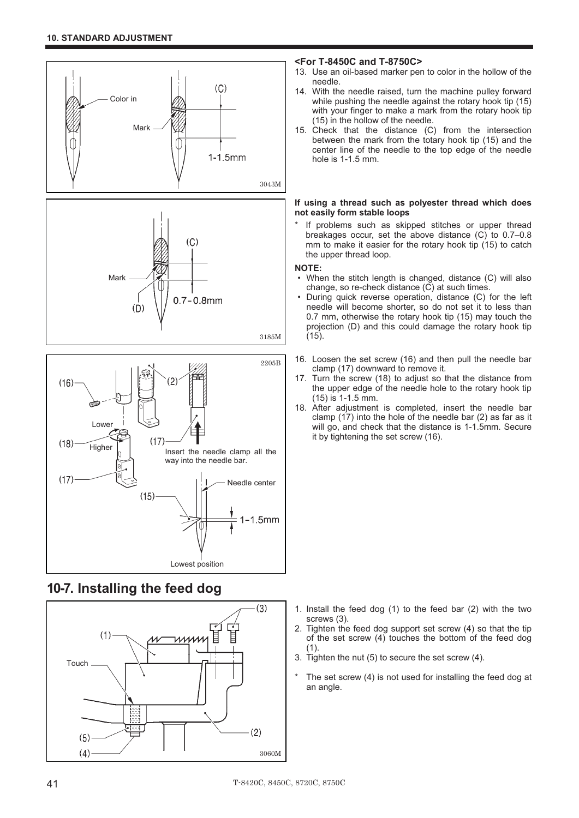![](_page_49_Figure_1.jpeg)

![](_page_49_Figure_2.jpeg)

### **10-7. Installing the feed dog**

![](_page_49_Figure_4.jpeg)

#### **<For T-8450C and T-8750C>**

- 13. Use an oil-based marker pen to color in the hollow of the needle.
- 14. With the needle raised, turn the machine pulley forward while pushing the needle against the rotary hook tip (15) with your finger to make a mark from the rotary hook tip (15) in the hollow of the needle.
- 15. Check that the distance (C) from the intersection between the mark from the totary hook tip (15) and the center line of the needle to the top edge of the needle hole is 1-1.5 mm.

#### **If using a thread such as polyester thread which does not easily form stable loops**

If problems such as skipped stitches or upper thread breakages occur, set the above distance (C) to 0.7–0.8 mm to make it easier for the rotary hook tip (15) to catch the upper thread loop.

#### **NOTE:**

3185M

- When the stitch length is changed, distance (C) will also change, so re-check distance (C) at such times.
- During quick reverse operation, distance (C) for the left needle will become shorter, so do not set it to less than 0.7 mm, otherwise the rotary hook tip (15) may touch the projection (D) and this could damage the rotary hook tip (15).
- 16. Loosen the set screw (16) and then pull the needle bar clamp (17) downward to remove it.
- 17. Turn the screw (18) to adjust so that the distance from the upper edge of the needle hole to the rotary hook tip (15) is 1-1.5 mm.
- 18. After adjustment is completed, insert the needle bar clamp (17) into the hole of the needle bar (2) as far as it will go, and check that the distance is 1-1.5mm. Secure it by tightening the set screw (16).

- 1. Install the feed dog (1) to the feed bar (2) with the two screws (3).
- 2. Tighten the feed dog support set screw (4) so that the tip of the set screw (4) touches the bottom of the feed dog (1).
- 3. Tighten the nut (5) to secure the set screw (4).
- The set screw  $(4)$  is not used for installing the feed dog at an angle.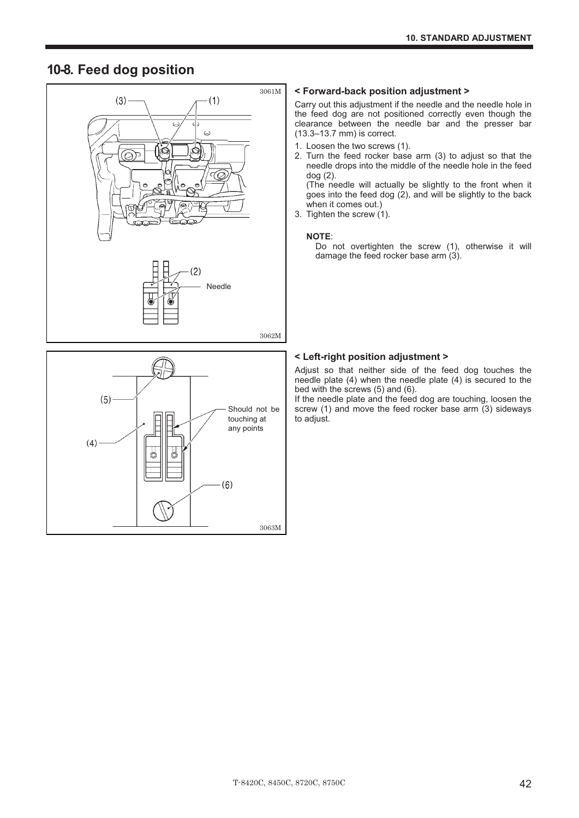### **10-8. Feed dog position**

![](_page_50_Figure_2.jpeg)

![](_page_50_Figure_3.jpeg)

#### **< Forward-back position adjustment >**

Carry out this adjustment if the needle and the needle hole in the feed dog are not positioned correctly even though the clearance between the needle bar and the presser bar (13.3–13.7 mm) is correct.

- 1. Loosen the two screws (1).
- 2. Turn the feed rocker base arm (3) to adjust so that the needle drops into the middle of the needle hole in the feed dog (2).

(The needle will actually be slightly to the front when it goes into the feed dog (2), and will be slightly to the back when it comes out.)

3. Tighten the screw (1).

#### **NOTE**:

Do not overtighten the screw (1), otherwise it will damage the feed rocker base arm (3).

#### **< Left-right position adjustment >**

Adjust so that neither side of the feed dog touches the needle plate (4) when the needle plate (4) is secured to the bed with the screws (5) and (6).

If the needle plate and the feed dog are touching, loosen the screw (1) and move the feed rocker base arm (3) sideways to adjust.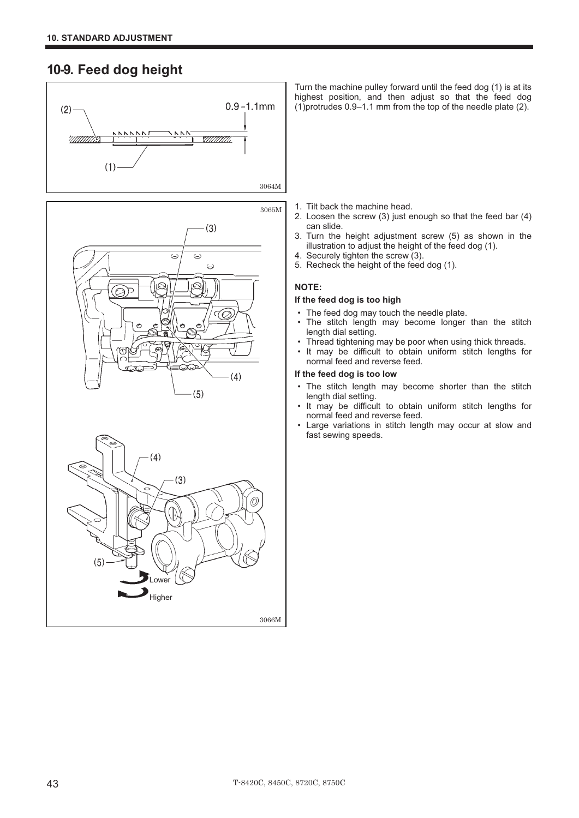### **10-9. Feed dog height**

![](_page_51_Figure_2.jpeg)

![](_page_51_Figure_3.jpeg)

![](_page_51_Figure_4.jpeg)

Turn the machine pulley forward until the feed dog (1) is at its highest position, and then adjust so that the feed dog (1)protrudes 0.9–1.1 mm from the top of the needle plate (2).

- 1. Tilt back the machine head.
- 2. Loosen the screw (3) just enough so that the feed bar (4) can slide.
- 3. Turn the height adjustment screw (5) as shown in the illustration to adjust the height of the feed dog (1).
- 4. Securely tighten the screw (3).
- 5. Recheck the height of the feed dog (1).

#### **NOTE:**

#### **If the feed dog is too high**

- The feed dog may touch the needle plate.<br>• The stitch length may become longer
- The stitch length may become longer than the stitch length dial setting.
- Thread tightening may be poor when using thick threads.<br>• It may be difficult to obtain uniform stitch lengths for
- It may be difficult to obtain uniform stitch lengths for normal feed and reverse feed.

#### **If the feed dog is too low**

- The stitch length may become shorter than the stitch length dial setting.
- It may be difficult to obtain uniform stitch lengths for normal feed and reverse feed.
- Large variations in stitch length may occur at slow and fast sewing speeds.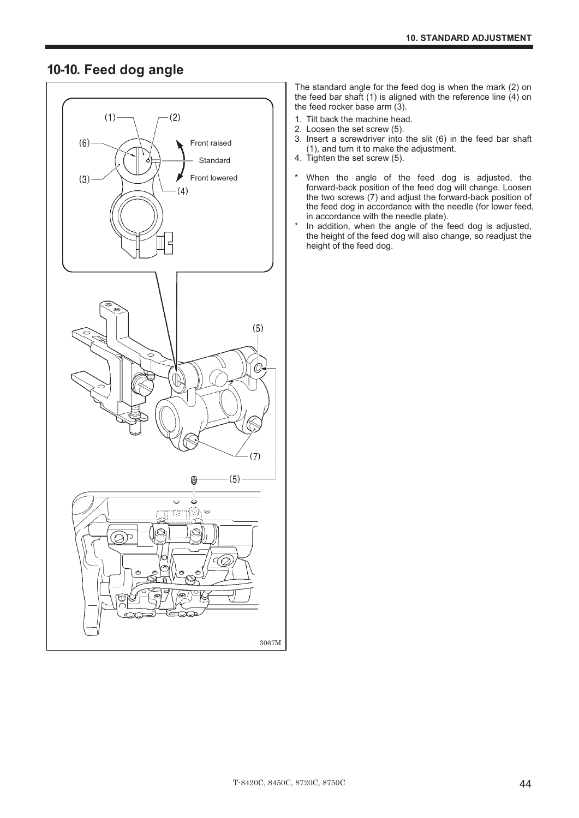### **10-10. Feed dog angle**

![](_page_52_Figure_2.jpeg)

The standard angle for the feed dog is when the mark (2) on the feed bar shaft (1) is aligned with the reference line  $(4)$  on the feed rocker base arm  $(3)$ .

- 1. Tilt back the machine head.
- 2. Loosen the set screw (5).
- 3. Insert a screwdriver into the slit (6) in the feed bar shaft (1), and turn it to make the adjustment.
- 4. Tighten the set screw (5).
- \* When the angle of the feed dog is adjusted, the forward-back position of the feed dog will change. Loosen the two screws (7) and adjust the forward-back position of the feed dog in accordance with the needle (for lower feed, in accordance with the needle plate).
- \* In addition, when the angle of the feed dog is adjusted, the height of the feed dog will also change, so readjust the height of the feed dog.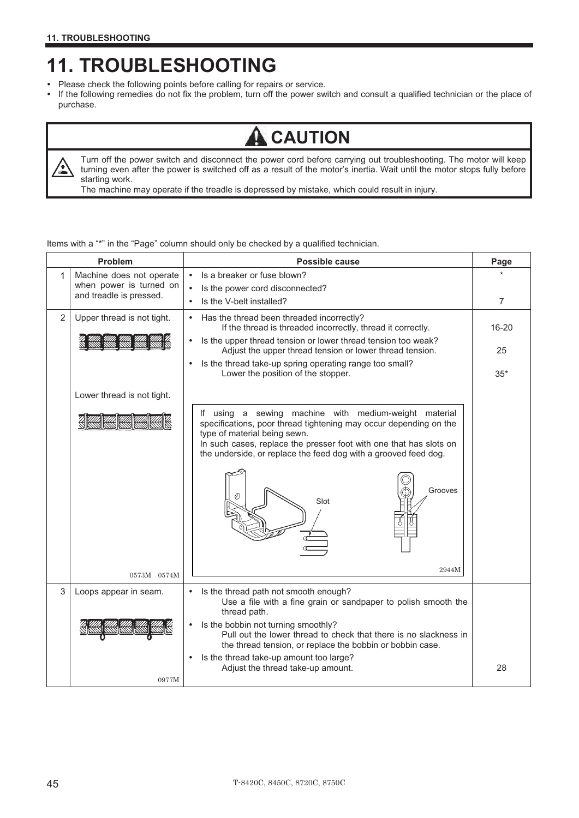## **11. TROUBLESHOOTING**

- Please check the following points before calling for repairs or service.
- $\bullet$  If the following remedies do not fix the problem, turn off the power switch and consult a qualified technician or the place of purchase.

## **CAUTION**

公

Turn off the power switch and disconnect the power cord before carrying out troubleshooting. The motor will keep turning even after the power is switched off as a result of the motor's inertia. Wait until the motor stops fully before starting work.

The machine may operate if the treadle is depressed by mistake, which could result in injury.

| Items with a "*" in the "Page" column should only be checked by a qualified technician. |  |  |  |
|-----------------------------------------------------------------------------------------|--|--|--|
|-----------------------------------------------------------------------------------------|--|--|--|

| Problem<br>Possible cause |                                                    | Page                                                                                                                                                                                                                                                                                                                            |       |
|---------------------------|----------------------------------------------------|---------------------------------------------------------------------------------------------------------------------------------------------------------------------------------------------------------------------------------------------------------------------------------------------------------------------------------|-------|
| 1                         | Machine does not operate                           | Is a breaker or fuse blown?<br>$\bullet$                                                                                                                                                                                                                                                                                        |       |
|                           | when power is turned on<br>and treadle is pressed. | Is the power cord disconnected?                                                                                                                                                                                                                                                                                                 |       |
|                           |                                                    | Is the V-belt installed?                                                                                                                                                                                                                                                                                                        | 7     |
| 2                         | Upper thread is not tight.                         | Has the thread been threaded incorrectly?<br>If the thread is threaded incorrectly, thread it correctly.                                                                                                                                                                                                                        | 16-20 |
|                           |                                                    | Is the upper thread tension or lower thread tension too weak?<br>Adjust the upper thread tension or lower thread tension.                                                                                                                                                                                                       | 25    |
|                           |                                                    | Is the thread take-up spring operating range too small?<br>Lower the position of the stopper.                                                                                                                                                                                                                                   | $35*$ |
|                           | Lower thread is not tight.                         |                                                                                                                                                                                                                                                                                                                                 |       |
|                           |                                                    | If using a sewing machine with medium-weight material<br>specifications, poor thread tightening may occur depending on the<br>type of material being sewn.<br>In such cases, replace the presser foot with one that has slots on<br>the underside, or replace the feed dog with a grooved feed dog.<br>Grooves<br>Slot<br>2944M |       |
|                           | 0573M 0574M                                        |                                                                                                                                                                                                                                                                                                                                 |       |
| 3                         | Loops appear in seam.                              | Is the thread path not smooth enough?<br>٠<br>Use a file with a fine grain or sandpaper to polish smooth the<br>thread path.<br>Is the bobbin not turning smoothly?<br>٠<br>Pull out the lower thread to check that there is no slackness in<br>the thread tension, or replace the bobbin or bobbin case.                       |       |
|                           | 0977M                                              | Is the thread take-up amount too large?<br>Adjust the thread take-up amount.                                                                                                                                                                                                                                                    | 28    |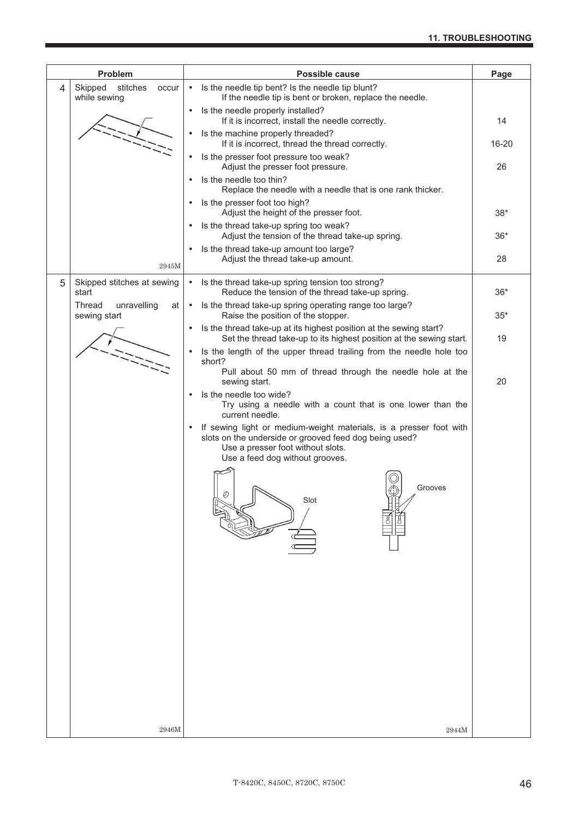|   | Problem                                      | Possible cause                                                                                                                                         | Page  |
|---|----------------------------------------------|--------------------------------------------------------------------------------------------------------------------------------------------------------|-------|
| 4 | Skipped<br>stitches<br>occur<br>while sewing | Is the needle tip bent? Is the needle tip blunt?<br>$\bullet$<br>If the needle tip is bent or broken, replace the needle.                              |       |
|   |                                              | Is the needle properly installed?<br>$\bullet$<br>If it is incorrect, install the needle correctly.                                                    | 14    |
|   |                                              | Is the machine properly threaded?<br>$\bullet$<br>If it is incorrect, thread the thread correctly.                                                     | 16-20 |
|   |                                              | Is the presser foot pressure too weak?<br>$\bullet$<br>Adjust the presser foot pressure.                                                               | 26    |
|   |                                              | Is the needle too thin?<br>$\bullet$<br>Replace the needle with a needle that is one rank thicker.                                                     |       |
|   |                                              | Is the presser foot too high?<br>$\bullet$<br>Adjust the height of the presser foot.                                                                   | $38*$ |
|   |                                              | Is the thread take-up spring too weak?<br>$\bullet$<br>Adjust the tension of the thread take-up spring.                                                | $36*$ |
|   | 2945M                                        | Is the thread take-up amount too large?<br>$\bullet$<br>Adjust the thread take-up amount.                                                              | 28    |
| 5 | Skipped stitches at sewing<br>start          | Is the thread take-up spring tension too strong?<br>$\bullet$<br>Reduce the tension of the thread take-up spring.                                      | $36*$ |
|   | Thread<br>unravelling<br>at<br>sewing start  | Is the thread take-up spring operating range too large?<br>$\bullet$<br>Raise the position of the stopper.                                             | $35*$ |
|   |                                              | Is the thread take-up at its highest position at the sewing start?<br>$\bullet$<br>Set the thread take-up to its highest position at the sewing start. | 19    |
|   |                                              | Is the length of the upper thread trailing from the needle hole too<br>short?                                                                          |       |
|   |                                              | Pull about 50 mm of thread through the needle hole at the<br>sewing start.                                                                             | 20    |
|   |                                              | Is the needle too wide?<br>$\bullet$<br>Try using a needle with a count that is one lower than the<br>current needle.                                  |       |
|   |                                              | If sewing light or medium-weight materials, is a presser foot with<br>$\bullet$<br>slots on the underside or grooved feed dog being used?              |       |
|   |                                              | Use a presser foot without slots.<br>Use a feed dog without grooves.                                                                                   |       |
|   |                                              | Grooves<br>Slot                                                                                                                                        |       |
|   |                                              |                                                                                                                                                        |       |
|   |                                              |                                                                                                                                                        |       |
|   |                                              |                                                                                                                                                        |       |
|   |                                              |                                                                                                                                                        |       |
|   |                                              |                                                                                                                                                        |       |
|   |                                              |                                                                                                                                                        |       |
|   | 2946M                                        | 2944M                                                                                                                                                  |       |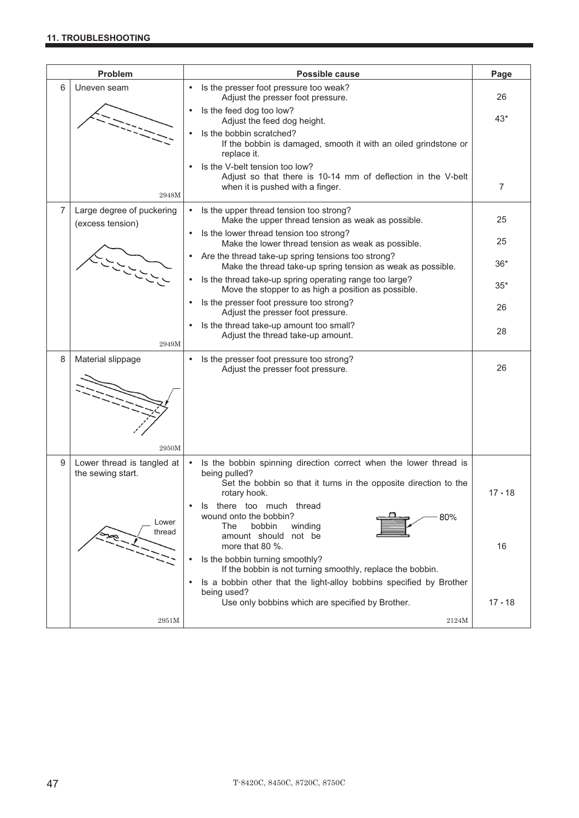#### **11. TROUBLESHOOTING**

|                | <b>Problem</b>                                  | <b>Possible cause</b>                                                                                                                                                               | Page          |
|----------------|-------------------------------------------------|-------------------------------------------------------------------------------------------------------------------------------------------------------------------------------------|---------------|
| 6              | Uneven seam                                     | Is the presser foot pressure too weak?<br>$\bullet$<br>Adjust the presser foot pressure.                                                                                            | 26            |
|                |                                                 | Is the feed dog too low?<br>$\bullet$<br>Adjust the feed dog height.                                                                                                                | $43*$         |
|                |                                                 | Is the bobbin scratched?<br>$\bullet$<br>If the bobbin is damaged, smooth it with an oiled grindstone or<br>replace it.                                                             |               |
|                | 2948M                                           | Is the V-belt tension too low?<br>Adjust so that there is 10-14 mm of deflection in the V-belt<br>when it is pushed with a finger.                                                  | 7             |
| $\overline{7}$ | Large degree of puckering<br>(excess tension)   | Is the upper thread tension too strong?<br>$\bullet$<br>Make the upper thread tension as weak as possible.                                                                          | 25            |
|                |                                                 | Is the lower thread tension too strong?<br>$\bullet$<br>Make the lower thread tension as weak as possible.                                                                          | 25            |
|                | یر رس رس رس<br>میں رس رس ر                      | Are the thread take-up spring tensions too strong?<br>$\bullet$<br>Make the thread take-up spring tension as weak as possible.                                                      | $36*$         |
|                |                                                 | Is the thread take-up spring operating range too large?<br>$\bullet$<br>Move the stopper to as high a position as possible.                                                         | $35*$         |
|                |                                                 | Is the presser foot pressure too strong?<br>$\bullet$<br>Adjust the presser foot pressure.                                                                                          | 26            |
|                | 2949M                                           | Is the thread take-up amount too small?<br>$\bullet$<br>Adjust the thread take-up amount.                                                                                           | 28            |
| 8              | Material slippage                               | Is the presser foot pressure too strong?<br>$\bullet$<br>Adjust the presser foot pressure.                                                                                          | 26            |
|                |                                                 |                                                                                                                                                                                     |               |
|                | 2950M                                           |                                                                                                                                                                                     |               |
| 9              | Lower thread is tangled at<br>the sewing start. | Is the bobbin spinning direction correct when the lower thread is<br>$\bullet$<br>being pulled?<br>Set the bobbin so that it turns in the opposite direction to the<br>rotary hook. | $17 \cdot 18$ |
|                | Lower<br>thread                                 | there too much thread<br>Is<br>wound onto the bobbin?<br>80%<br>bobbin<br>The<br>winding<br>amount should not be<br>more that 80 %.                                                 | 16            |
|                |                                                 | Is the bobbin turning smoothly?<br>$\bullet$<br>If the bobbin is not turning smoothly, replace the bobbin.                                                                          |               |
|                |                                                 | Is a bobbin other that the light-alloy bobbins specified by Brother<br>$\bullet$<br>being used?                                                                                     |               |
|                | 2951M                                           | Use only bobbins which are specified by Brother.<br>2124M                                                                                                                           | $17 \cdot 18$ |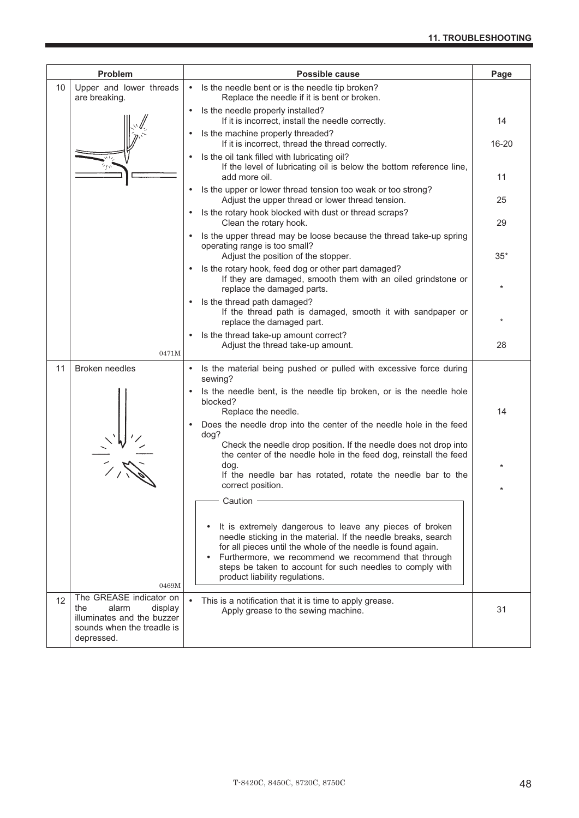| Problem |                                                                                                                              | <b>Possible cause</b>                                                                                                                                                                                                                                                                                                                          | Page  |
|---------|------------------------------------------------------------------------------------------------------------------------------|------------------------------------------------------------------------------------------------------------------------------------------------------------------------------------------------------------------------------------------------------------------------------------------------------------------------------------------------|-------|
| 10      | Upper and lower threads<br>are breaking.                                                                                     | Is the needle bent or is the needle tip broken?<br>$\bullet$<br>Replace the needle if it is bent or broken.                                                                                                                                                                                                                                    |       |
|         |                                                                                                                              | Is the needle properly installed?<br>$\bullet$<br>If it is incorrect, install the needle correctly.                                                                                                                                                                                                                                            | 14    |
|         |                                                                                                                              | Is the machine properly threaded?<br>If it is incorrect, thread the thread correctly.                                                                                                                                                                                                                                                          | 16-20 |
|         |                                                                                                                              | Is the oil tank filled with lubricating oil?<br>If the level of lubricating oil is below the bottom reference line,<br>add more oil.                                                                                                                                                                                                           | 11    |
|         |                                                                                                                              | Is the upper or lower thread tension too weak or too strong?<br>Adjust the upper thread or lower thread tension.                                                                                                                                                                                                                               | 25    |
|         |                                                                                                                              | Is the rotary hook blocked with dust or thread scraps?<br>$\bullet$<br>Clean the rotary hook.                                                                                                                                                                                                                                                  | 29    |
|         |                                                                                                                              | Is the upper thread may be loose because the thread take-up spring<br>operating range is too small?<br>Adjust the position of the stopper.                                                                                                                                                                                                     | $35*$ |
|         |                                                                                                                              | Is the rotary hook, feed dog or other part damaged?<br>If they are damaged, smooth them with an oiled grindstone or<br>replace the damaged parts.                                                                                                                                                                                              |       |
|         |                                                                                                                              | Is the thread path damaged?<br>If the thread path is damaged, smooth it with sandpaper or<br>replace the damaged part.                                                                                                                                                                                                                         |       |
|         | 0471M                                                                                                                        | Is the thread take-up amount correct?<br>Adjust the thread take-up amount.                                                                                                                                                                                                                                                                     | 28    |
| 11      | <b>Broken needles</b>                                                                                                        | Is the material being pushed or pulled with excessive force during<br>sewing?                                                                                                                                                                                                                                                                  |       |
|         |                                                                                                                              | Is the needle bent, is the needle tip broken, or is the needle hole<br>blocked?<br>Replace the needle.                                                                                                                                                                                                                                         | 14    |
|         |                                                                                                                              | Does the needle drop into the center of the needle hole in the feed<br>dog?                                                                                                                                                                                                                                                                    |       |
|         |                                                                                                                              | Check the needle drop position. If the needle does not drop into<br>the center of the needle hole in the feed dog, reinstall the feed                                                                                                                                                                                                          |       |
|         |                                                                                                                              | dog.<br>If the needle bar has rotated, rotate the needle bar to the<br>correct position.                                                                                                                                                                                                                                                       |       |
|         |                                                                                                                              | Caution                                                                                                                                                                                                                                                                                                                                        |       |
|         | 0469M                                                                                                                        | It is extremely dangerous to leave any pieces of broken<br>needle sticking in the material. If the needle breaks, search<br>for all pieces until the whole of the needle is found again.<br>Furthermore, we recommend we recommend that through<br>steps be taken to account for such needles to comply with<br>product liability regulations. |       |
| 12      | The GREASE indicator on<br>alarm<br>display<br>the<br>illuminates and the buzzer<br>sounds when the treadle is<br>depressed. | This is a notification that it is time to apply grease.<br>Apply grease to the sewing machine.                                                                                                                                                                                                                                                 | 31    |